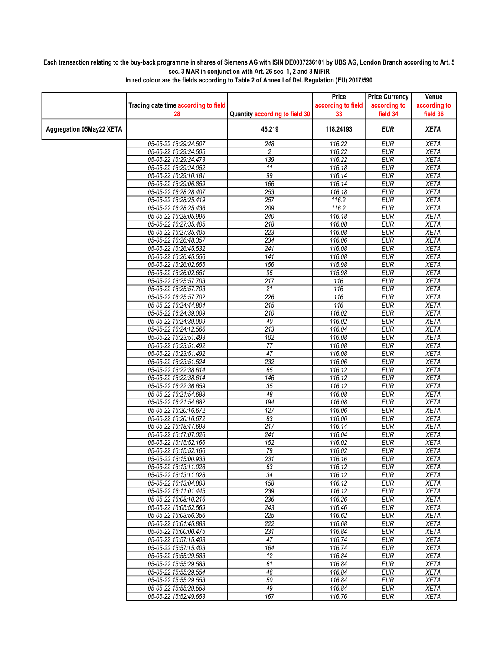## Each transaction relating to the buy-back programme in shares of Siemens AG with ISIN DE0007236101 by UBS AG, London Branch according to Art. 5 sec. 3 MAR in conjunction with Art. 26 sec. 1, 2 and 3 MiFiR

|                          |                                                |                                | Price              | <b>Price Currency</b>    | Venue                      |
|--------------------------|------------------------------------------------|--------------------------------|--------------------|--------------------------|----------------------------|
|                          | Trading date time according to field           |                                | according to field | according to             | according to               |
|                          | 28                                             | Quantity according to field 30 | 33                 | field 34                 | field 36                   |
| Aggregation 05May22 XETA |                                                | 45,219                         | 118.24193          | <b>EUR</b>               | <b>XETA</b>                |
|                          | 05-05-22 16:29:24.507                          | 248                            | 116.22             | <b>EUR</b>               | <b>XETA</b>                |
|                          | 05-05-22 16:29:24.505                          | 2                              | 116.22             | <b>EUR</b>               | <b>XETA</b>                |
|                          | 05-05-22 16:29:24.473                          | 139                            | 116.22             | <b>EUR</b>               | <b>XETA</b>                |
|                          | 05-05-22 16:29:24.052                          | 11                             | 116.18             | <b>EUR</b>               | <b>XETA</b>                |
|                          | 05-05-22 16:29:10.181                          | 99                             | 116.14             | <b>EUR</b>               | <b>XETA</b>                |
|                          | 05-05-22 16:29:06.859                          | 166                            | 116.14             | <b>EUR</b>               | <b>XETA</b>                |
|                          | 05-05-22 16:28:28.407                          | 253                            | 116.18             | <b>EUR</b>               | <b>XETA</b>                |
|                          | 05-05-22 16:28:25.419                          | 257                            | 116.2              | <b>EUR</b>               | <b>XETA</b>                |
|                          | 05-05-22 16:28:25.436                          | 209                            | 116.2              | EUR                      | <b>XETA</b>                |
|                          | 05-05-22 16:28:05.996                          | 240                            | 116.18             | <b>EUR</b>               | <b>XETA</b>                |
|                          | 05-05-22 16:27:35.405                          | 218                            | 116.08             | <b>EUR</b>               | <b>XETA</b>                |
|                          | 05-05-22 16:27:35.405                          | 223                            | 116.08             | <b>EUR</b>               | <b>XETA</b>                |
|                          | 05-05-22 16:26:48.357                          | 234                            | 116.06             | <b>EUR</b>               | <b>XETA</b>                |
|                          | 05-05-22 16:26:45.532                          | $\overline{241}$               | 116.08             | <b>EUR</b>               | <b>XETA</b>                |
|                          | 05-05-22 16:26:45.556                          | 141                            | 116.08             | <b>EUR</b>               | <b>XETA</b>                |
|                          | 05-05-22 16:26:02.655                          | 156                            | 115.98             | <b>EUR</b>               | <b>XETA</b>                |
|                          | 05-05-22 16:26:02.651                          | 95                             | 115.98             | <b>EUR</b>               | <b>XETA</b>                |
|                          | 05-05-22 16:25:57.703                          | $\overline{217}$<br>21         | 116                | <b>EUR</b>               | <b>XETA</b>                |
|                          | 05-05-22 16:25:57.703<br>05-05-22 16:25:57.702 | 226                            | 116<br>116         | <b>EUR</b><br><b>EUR</b> | <b>XETA</b><br><b>XETA</b> |
|                          | 05-05-22 16:24:44.804                          | 215                            | 116                | <b>EUR</b>               | <b>XETA</b>                |
|                          | 05-05-22 16:24:39.009                          | 210                            | 116.02             | <b>EUR</b>               | <b>XETA</b>                |
|                          | 05-05-22 16:24:39.009                          | 40                             | 116.02             | <b>EUR</b>               | <b>XETA</b>                |
|                          | 05-05-22 16:24:12.566                          | 213                            | 116.04             | <b>EUR</b>               | <b>XETA</b>                |
|                          | 05-05-22 16:23:51.493                          | 102                            | 116.08             | <b>EUR</b>               | <b>XETA</b>                |
|                          | 05-05-22 16:23:51.492                          | 77                             | 116.08             | <b>EUR</b>               | <b>XETA</b>                |
|                          | 05-05-22 16:23:51.492                          | 47                             | 116.08             | <b>EUR</b>               | <b>XETA</b>                |
|                          | 05-05-22 16:23:51.524                          | 232                            | 116.06             | <b>EUR</b>               | <b>XETA</b>                |
|                          | 05-05-22 16:22:38.614                          | 65                             | 116.12             | <b>EUR</b>               | <b>XETA</b>                |
|                          | 05-05-22 16:22:38.614                          | 146                            | 116.12             | <b>EUR</b>               | <b>XETA</b>                |
|                          | 05-05-22 16:22:36.659                          | 35                             | 116.12             | <b>EUR</b>               | <b>XETA</b>                |
|                          | 05-05-22 16:21:54.683                          | 48                             | 116.08             | <b>EUR</b>               | <b>XETA</b>                |
|                          | 05-05-22 16:21:54.682                          | 194                            | 116.08             | <b>EUR</b>               | <b>XETA</b>                |
|                          | 05-05-22 16:20:16.672                          | $\overline{127}$               | 116.06             | EUR                      | <b>XETA</b>                |
|                          | 05-05-22 16:20:16.672                          | 83                             | 116.06             | <b>EUR</b>               | <b>XETA</b>                |
|                          | 05-05-22 16:18:47.693                          | 217                            | 116.14             | <b>EUR</b>               | <b>XETA</b>                |
|                          | 05-05-22 16:17:07.026                          | 241                            | 116.04             | <b>EUR</b>               | <b>XETA</b>                |
|                          | 05-05-22 16:15:52.166                          | 152                            | 116.02             | <b>EUR</b>               | <b>XETA</b>                |
|                          | 05-05-22 16:15:52.166                          | 79                             | 116.02             | <b>EUR</b>               | <b>XETA</b>                |
|                          | 05-05-22 16:15:00.933                          | $\overline{231}$               | 116.16             | <b>EUR</b>               | <b>XETA</b>                |
|                          | 05-05-22 16:13:11.028                          | 63                             | 116.12             | <b>EUR</b>               | <b>XETA</b>                |
|                          | 05-05-22 16:13:11.028                          | 34                             | 116.12             | <b>EUR</b>               | <b>XETA</b>                |
|                          | 05-05-22 16:13:04.803                          | 158                            | 116.12             | <b>EUR</b>               | <b>XETA</b>                |
|                          | 05-05-22 16:11:01.445                          | 239                            | 116.12             | <b>EUR</b>               | <b>XETA</b>                |
|                          | 05-05-22 16:08:10.216                          | 236                            | 116.26             | <b>EUR</b>               | <b>XETA</b>                |
|                          | 05-05-22 16:05:52.569                          | 243                            | 116.46             | <b>EUR</b>               | <b>XETA</b>                |
|                          | 05-05-22 16:03:56.356                          | $\overline{225}$               | 116.62             | <b>EUR</b>               | <b>XETA</b>                |
|                          | 05-05-22 16:01:45.883                          | 222                            | 116.68             | <b>EUR</b>               | <b>XETA</b>                |
|                          | 05-05-22 16:00:00.475                          | 231                            | 116.84             | <b>EUR</b>               | XETA                       |
|                          | 05-05-22 15:57:15.403                          | 47                             | 116.74             | <b>EUR</b>               | <b>XETA</b>                |
|                          | 05-05-22 15:57:15.403                          | 164                            | 116.74             | <b>EUR</b>               | <b>XETA</b>                |
|                          | 05-05-22 15:55:29.583                          | 12<br>61                       | 116.84<br>116.84   | <b>EUR</b><br><b>EUR</b> | <b>XETA</b><br><b>XETA</b> |
|                          | 05-05-22 15:55:29.583<br>05-05-22 15:55:29.554 | 46                             | 116.84             | <b>EUR</b>               | <b>XETA</b>                |
|                          | 05-05-22 15:55:29.553                          | 50                             | 116.84             | <b>EUR</b>               | <b>XETA</b>                |
|                          | 05-05-22 15:55:29.553                          | 49                             | 116.84             | <b>EUR</b>               | <b>XETA</b>                |
|                          | 05-05-22 15:52:49.653                          | 167                            | 116.76             | <b>EUR</b>               | <b>XETA</b>                |
|                          |                                                |                                |                    |                          |                            |

In red colour are the fields according to Table 2 of Annex I of Del. Regulation (EU) 2017/590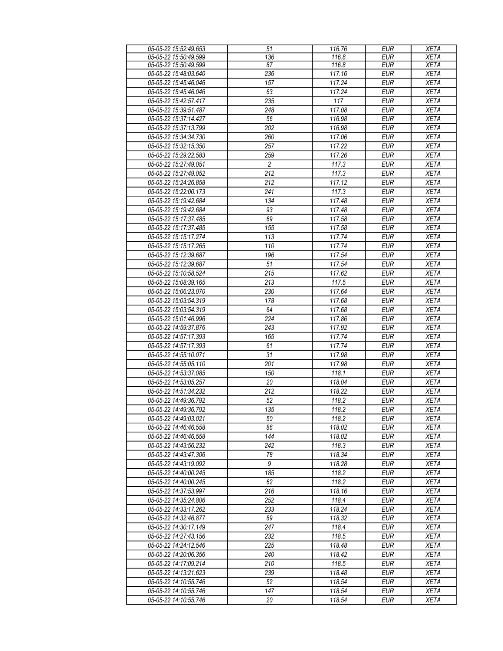| 05-05-22 15:52:49.653 | 51               | 116.76 | <b>EUR</b> | <b>XETA</b> |
|-----------------------|------------------|--------|------------|-------------|
| 05-05-22 15:50:49.599 | 136              | 116.8  | <b>EUR</b> | <b>XETA</b> |
| 05-05-22 15:50:49.599 | 87               | 116.8  | <b>EUR</b> | <b>XETA</b> |
| 05-05-22 15:48:03.640 | 236              | 117.16 | <b>EUR</b> | <b>XETA</b> |
| 05-05-22 15:45:46.046 | 157              | 117.24 | EUR        | <b>XETA</b> |
| 05-05-22 15:45:46.046 | 63               | 117.24 | <b>EUR</b> | <b>XETA</b> |
| 05-05-22 15:42:57.417 | 235              | 117    | EUR        | <b>XETA</b> |
| 05-05-22 15:39:51.487 | 248              | 117.08 | <b>EUR</b> | <b>XETA</b> |
|                       |                  |        |            |             |
| 05-05-22 15:37:14.427 | 56               | 116.98 | <b>EUR</b> | <b>XETA</b> |
| 05-05-22 15:37:13.799 | 202              | 116.98 | <b>EUR</b> | <b>XETA</b> |
| 05-05-22 15:34:34.730 | 260              | 117.06 | <b>EUR</b> | <b>XETA</b> |
| 05-05-22 15:32:15.350 | 257              | 117.22 | <b>EUR</b> | <b>XETA</b> |
| 05-05-22 15:29:22.583 | 259              | 117.26 | <b>EUR</b> | <b>XETA</b> |
| 05-05-22 15:27:49.051 | $\overline{c}$   | 117.3  | <b>EUR</b> | <b>XETA</b> |
| 05-05-22 15:27:49.052 | 212              | 117.3  | <b>EUR</b> | <b>XETA</b> |
| 05-05-22 15:24:26.858 | 212              | 117.12 | EUR        | <b>XETA</b> |
| 05-05-22 15:22:00.173 | 241              | 117.3  | <b>EUR</b> | <b>XETA</b> |
|                       | 134              |        |            |             |
| 05-05-22 15:19:42.684 |                  | 117.48 | <b>EUR</b> | <b>XETA</b> |
| 05-05-22 15:19:42.684 | 93               | 117.48 | <b>EUR</b> | <b>XETA</b> |
| 05-05-22 15:17:37.485 | 69               | 117.58 | <b>EUR</b> | <b>XETA</b> |
| 05-05-22 15:17:37.485 | 155              | 117.58 | <b>EUR</b> | <b>XETA</b> |
| 05-05-22 15:15:17.274 | 113              | 117.74 | <b>EUR</b> | <b>XETA</b> |
| 05-05-22 15:15:17.265 | 110              | 117.74 | EUR        | <b>XETA</b> |
| 05-05-22 15:12:39.687 | 196              | 117.54 | <b>EUR</b> | <b>XETA</b> |
| 05-05-22 15:12:39.687 | 51               | 117.54 | <b>EUR</b> | <b>XETA</b> |
| 05-05-22 15:10:58.524 | 215              | 117.62 | <b>EUR</b> | <b>XETA</b> |
| 05-05-22 15:08:39.165 | 213              | 117.5  | <b>EUR</b> | <b>XETA</b> |
| 05-05-22 15:06:23.070 | 230              | 117.64 | <b>EUR</b> | <b>XETA</b> |
|                       |                  |        |            |             |
| 05-05-22 15:03:54.319 | 178              | 117.68 | <b>EUR</b> | <b>XETA</b> |
| 05-05-22 15:03:54.319 | 64               | 117.68 | EUR        | <b>XETA</b> |
| 05-05-22 15:01:46.996 | 224              | 117.86 | <b>EUR</b> | <b>XETA</b> |
| 05-05-22 14:59:37.876 | 243              | 117.92 | EUR        | <b>XETA</b> |
| 05-05-22 14:57:17.393 | 165              | 117.74 | <b>EUR</b> | <b>XETA</b> |
| 05-05-22 14:57:17.393 | 61               | 117.74 | <b>EUR</b> | <b>XETA</b> |
| 05-05-22 14:55:10.071 | 31               | 117.98 | <b>EUR</b> | <b>XETA</b> |
| 05-05-22 14:55:05.110 | 201              | 117.98 | <b>EUR</b> | <b>XETA</b> |
| 05-05-22 14:53:37.085 | 150              | 118.1  | <b>EUR</b> | <b>XETA</b> |
| 05-05-22 14:53:05.257 | 20               | 118.04 | <b>EUR</b> | <b>XETA</b> |
| 05-05-22 14:51:34.232 | 212              | 118.22 | <b>EUR</b> | <b>XETA</b> |
| 05-05-22 14:49:36.792 |                  |        |            |             |
|                       | 52               | 118.2  | <b>EUR</b> | <b>XETA</b> |
| 05-05-22 14:49:36.792 | 135              | 118.2  | EUR        | <b>XETA</b> |
| 05-05-22 14:49:03.021 | 50               | 118.2  | <b>EUR</b> | <b>XETA</b> |
| 05-05-22 14:46:46.558 | 86               | 118.02 | <b>EUR</b> | <b>XETA</b> |
| 05-05-22 14:46:46.558 | 144              | 118.02 | <b>EUR</b> | <b>XETA</b> |
| 05-05-22 14:43:56.232 | 242              | 118.3  | <b>EUR</b> | <b>XETA</b> |
| 05-05-22 14:43:47.306 | 78               | 118.34 | <b>EUR</b> | <b>XETA</b> |
| 05-05-22 14:43:19.092 | 9                | 118.28 | <b>EUR</b> | <b>XETA</b> |
| 05-05-22 14:40:00.245 | $\overline{185}$ | 118.2  | <b>EUR</b> | <b>XETA</b> |
| 05-05-22 14:40:00.245 | 62               | 118.2  | <b>EUR</b> | <b>XETA</b> |
| 05-05-22 14:37:53.997 | 216              | 118.16 | <b>EUR</b> | <b>XETA</b> |
|                       |                  | 118.4  |            |             |
| 05-05-22 14:35:24.806 | 252              |        | <b>EUR</b> | <b>XETA</b> |
| 05-05-22 14:33:17.262 | 233              | 118.24 | <b>EUR</b> | <b>XETA</b> |
| 05-05-22 14:32:46.877 | 89               | 118.32 | <b>EUR</b> | <b>XETA</b> |
| 05-05-22 14:30:17.149 | 247              | 118.4  | <b>EUR</b> | <b>XETA</b> |
| 05-05-22 14:27:43.156 | 232              | 118.5  | <b>EUR</b> | <b>XETA</b> |
| 05-05-22 14:24:12.546 | 225              | 118.48 | <b>EUR</b> | <b>XETA</b> |
| 05-05-22 14:20:06.356 | 240              | 118.42 | <b>EUR</b> | <b>XETA</b> |
| 05-05-22 14:17:09.214 | 210              | 118.5  | <b>EUR</b> | <b>XETA</b> |
| 05-05-22 14:13:21.623 | 239              | 118.48 | <b>EUR</b> | <b>XETA</b> |
| 05-05-22 14:10:55.746 | 52               | 118.54 | <b>EUR</b> | XETA        |
| 05-05-22 14:10:55.746 | 147              | 118.54 | <b>EUR</b> | <b>XETA</b> |
|                       |                  |        |            |             |
| 05-05-22 14:10:55.746 | 20               | 118.54 | <b>EUR</b> | <b>XETA</b> |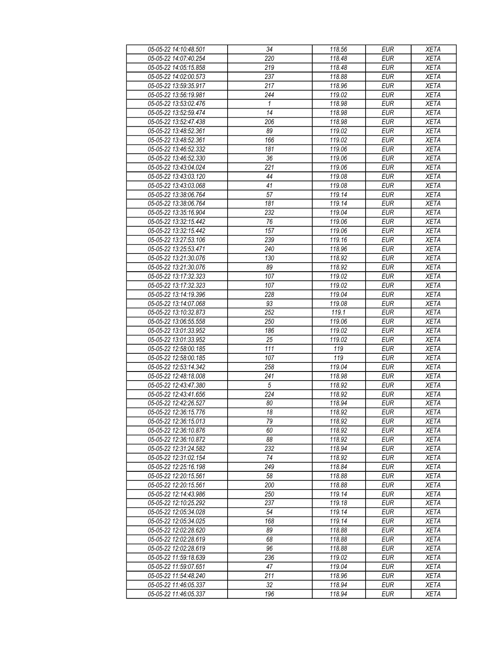| 05-05-22 14:10:48.501 | 34         | 118.56 | <b>EUR</b>       | <b>XETA</b> |
|-----------------------|------------|--------|------------------|-------------|
| 05-05-22 14:07:40.254 | 220        | 118.48 | <b>EUR</b>       | <b>XETA</b> |
| 05-05-22 14:05:15.858 | 219        | 118.48 | <b>EUR</b>       | <b>XETA</b> |
| 05-05-22 14:02:00.573 | 237        | 118.88 | <b>EUR</b>       | <b>XETA</b> |
| 05-05-22 13:59:35.917 | 217        | 118.96 | <b>EUR</b>       | <b>XETA</b> |
| 05-05-22 13:56:19.981 | 244        | 119.02 | <b>EUR</b>       | <b>XETA</b> |
| 05-05-22 13:53:02.476 | 1          | 118.98 | <b>EUR</b>       | <b>XETA</b> |
| 05-05-22 13:52:59.474 | 14         | 118.98 | <b>EUR</b>       | <b>XETA</b> |
| 05-05-22 13:52:47.438 | 206        | 118.98 | <b>EUR</b>       | <b>XETA</b> |
| 05-05-22 13:48:52.361 | 89         | 119.02 | <b>EUR</b>       | <b>XETA</b> |
| 05-05-22 13:48:52.361 | 166        | 119.02 | <b>EUR</b>       | <b>XETA</b> |
| 05-05-22 13:46:52.332 | 181        | 119.06 | <b>EUR</b>       | <b>XETA</b> |
| 05-05-22 13:46:52.330 | 36         | 119.06 | <b>EUR</b>       | <b>XETA</b> |
| 05-05-22 13:43:04.024 | 221        | 119.06 | <b>EUR</b>       | <b>XETA</b> |
| 05-05-22 13:43:03.120 | 44         | 119.08 | EUR              | <b>XETA</b> |
| 05-05-22 13:43:03.068 | 41         | 119.08 | <b>EUR</b>       | <b>XETA</b> |
| 05-05-22 13:38:06.764 | 57         | 119.14 | EUR              | <b>XETA</b> |
| 05-05-22 13:38:06.764 | 181        | 119.14 | <b>EUR</b>       |             |
|                       |            |        |                  | <b>XETA</b> |
| 05-05-22 13:35:16.904 | 232        | 119.04 | <b>EUR</b>       | <b>XETA</b> |
| 05-05-22 13:32:15.442 | 76         | 119.06 | <b>EUR</b>       | <b>XETA</b> |
| 05-05-22 13:32:15.442 | 157        | 119.06 | <b>EUR</b>       | <b>XETA</b> |
| 05-05-22 13:27:53.106 | 239        | 119.16 | <b>EUR</b>       | <b>XETA</b> |
| 05-05-22 13:25:53.471 | 240        | 118.96 | <b>EUR</b>       | <b>XETA</b> |
| 05-05-22 13:21:30.076 | 130        | 118.92 | <b>EUR</b>       | <b>XETA</b> |
| 05-05-22 13:21:30.076 | 89         | 118.92 | <b>EUR</b>       | <b>XETA</b> |
| 05-05-22 13:17:32.323 | 107        | 119.02 | <b>EUR</b>       | <b>XETA</b> |
| 05-05-22 13:17:32.323 | 107        | 119.02 | <b>EUR</b>       | <b>XETA</b> |
| 05-05-22 13:14:19.396 | 228        | 119.04 | <b>EUR</b>       | <b>XETA</b> |
| 05-05-22 13:14:07.068 | 93         | 119.08 | <b>EUR</b>       | <b>XETA</b> |
| 05-05-22 13:10:32.873 | 252        | 119.1  | <b>EUR</b>       | <b>XETA</b> |
| 05-05-22 13:06:55.558 | 250        | 119.06 | <b>EUR</b>       | <b>XETA</b> |
| 05-05-22 13:01:33.952 | 186        | 119.02 | <b>EUR</b>       | <b>XETA</b> |
| 05-05-22 13:01:33.952 | 25         | 119.02 | <b>EUR</b>       | <b>XETA</b> |
| 05-05-22 12:58:00.185 | 111        | 119    | <b>EUR</b>       | <b>XETA</b> |
| 05-05-22 12:58:00.185 | 107        | 119    | $E\overline{UR}$ | <b>XETA</b> |
| 05-05-22 12:53:14.342 | 258        | 119.04 | <b>EUR</b>       | <b>XETA</b> |
| 05-05-22 12:48:18.008 | 241        | 118.98 | <b>EUR</b>       | <b>XETA</b> |
| 05-05-22 12:43:47.380 | $\sqrt{5}$ | 118.92 | <b>EUR</b>       | <b>XETA</b> |
| 05-05-22 12:43:41.656 | 224        | 118.92 | <b>EUR</b>       | <b>XETA</b> |
| 05-05-22 12:42:26.527 | 80         | 118.94 | <b>EUR</b>       | <b>XETA</b> |
| 05-05-22 12:36:15.776 | 18         | 118.92 | <b>EUR</b>       | <b>XETA</b> |
| 05-05-22 12:36:15.013 | 79         | 118.92 | <b>EUR</b>       | <b>XETA</b> |
| 05-05-22 12:36:10.876 | 60         | 118.92 | <b>EUR</b>       | <b>XETA</b> |
| 05-05-22 12:36:10.872 | 88         | 118.92 | <b>EUR</b>       | <b>XETA</b> |
| 05-05-22 12:31:24.582 | 232        | 118.94 | <b>EUR</b>       | <b>XETA</b> |
| 05-05-22 12:31:02.154 | 74         | 118.92 | <b>EUR</b>       | <b>XETA</b> |
| 05-05-22 12:25:16.198 | 249        | 118.84 | <b>EUR</b>       | <b>XETA</b> |
| 05-05-22 12:20:15.561 | 58         | 118.88 | <b>EUR</b>       | <b>XETA</b> |
| 05-05-22 12:20:15.561 | 200        | 118.88 | <b>EUR</b>       | <b>XETA</b> |
| 05-05-22 12:14:43.986 | 250        | 119.14 | <b>EUR</b>       | <b>XETA</b> |
| 05-05-22 12:10:25.292 | 237        | 119.18 | <b>EUR</b>       | <b>XETA</b> |
| 05-05-22 12:05:34.028 | 54         | 119.14 | <b>EUR</b>       | <b>XETA</b> |
| 05-05-22 12:05:34.025 | 168        | 119.14 | <b>EUR</b>       | <b>XETA</b> |
| 05-05-22 12:02:28.620 | 89         | 118.88 | <b>EUR</b>       | <b>XETA</b> |
| 05-05-22 12:02:28.619 | 68         | 118.88 | <b>EUR</b>       | <b>XETA</b> |
| 05-05-22 12:02:28.619 | 96         | 118.88 | <b>EUR</b>       | <b>XETA</b> |
| 05-05-22 11:59:18.639 | 236        | 119.02 | <b>EUR</b>       | <b>XETA</b> |
| 05-05-22 11:59:07.651 | 47         | 119.04 | <b>EUR</b>       | <b>XETA</b> |
| 05-05-22 11:54:48.240 | 211        | 118.96 | <b>EUR</b>       | <b>XETA</b> |
| 05-05-22 11:46:05.337 | 32         | 118.94 | <b>EUR</b>       | <b>XETA</b> |
| 05-05-22 11:46:05.337 | 196        | 118.94 | <b>EUR</b>       | <b>XETA</b> |
|                       |            |        |                  |             |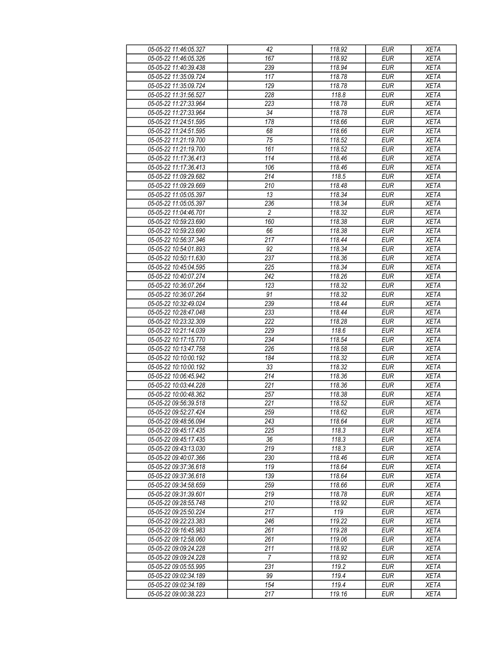| 05-05-22 11:46:05.327 | 42               | 118.92 | <b>EUR</b> | <b>XETA</b> |
|-----------------------|------------------|--------|------------|-------------|
| 05-05-22 11:46:05.326 | 167              | 118.92 | <b>EUR</b> | <b>XETA</b> |
| 05-05-22 11:40:39.438 | 239              | 118.94 | <b>EUR</b> | <b>XETA</b> |
| 05-05-22 11:35:09.724 | 117              | 118.78 | <b>EUR</b> | <b>XETA</b> |
| 05-05-22 11:35:09.724 | 129              | 118.78 | <b>EUR</b> | <b>XETA</b> |
| 05-05-22 11:31:56.527 | 228              | 118.8  | <b>EUR</b> | <b>XETA</b> |
| 05-05-22 11:27:33.964 | 223              | 118.78 | <b>EUR</b> | <b>XETA</b> |
| 05-05-22 11:27:33.964 | 34               | 118.78 | <b>EUR</b> | <b>XETA</b> |
| 05-05-22 11:24:51.595 | 178              | 118.66 | <b>EUR</b> | <b>XETA</b> |
| 05-05-22 11:24:51.595 | 68               | 118.66 | <b>EUR</b> | <b>XETA</b> |
| 05-05-22 11:21:19.700 | 75               | 118.52 | <b>EUR</b> | <b>XETA</b> |
| 05-05-22 11:21:19.700 | 161              | 118.52 | <b>EUR</b> | <b>XETA</b> |
| 05-05-22 11:17:36.413 | 114              | 118.46 | <b>EUR</b> | <b>XETA</b> |
| 05-05-22 11:17:36.413 | 106              | 118.46 | <b>EUR</b> | <b>XETA</b> |
| 05-05-22 11:09:29.682 | 214              | 118.5  | <b>EUR</b> | <b>XETA</b> |
| 05-05-22 11:09:29.669 | 210              | 118.48 | <b>EUR</b> | <b>XETA</b> |
| 05-05-22 11:05:05.397 | 13               | 118.34 | <b>EUR</b> | <b>XETA</b> |
| 05-05-22 11:05:05.397 | 236              | 118.34 | <b>EUR</b> | <b>XETA</b> |
| 05-05-22 11:04:46.701 | $\overline{c}$   | 118.32 | <b>EUR</b> | <b>XETA</b> |
| 05-05-22 10:59:23.690 | 160              | 118.38 | <b>EUR</b> | <b>XETA</b> |
|                       |                  |        |            |             |
| 05-05-22 10:59:23.690 | 66               | 118.38 | <b>EUR</b> | <b>XETA</b> |
| 05-05-22 10:56:37.346 | 217              | 118.44 | <b>EUR</b> | <b>XETA</b> |
| 05-05-22 10:54:01.893 | 92               | 118.34 | <b>EUR</b> | <b>XETA</b> |
| 05-05-22 10:50:11.630 | 237              | 118.36 | <b>EUR</b> | <b>XETA</b> |
| 05-05-22 10:45:04.595 | 225              | 118.34 | <b>EUR</b> | <b>XETA</b> |
| 05-05-22 10:40:07.274 | 242              | 118.26 | <b>EUR</b> | <b>XETA</b> |
| 05-05-22 10:36:07.264 | 123              | 118.32 | <b>EUR</b> | <b>XETA</b> |
| 05-05-22 10:36:07.264 | 91               | 118.32 | <b>EUR</b> | <b>XETA</b> |
| 05-05-22 10:32:49.024 | 239              | 118.44 | <b>EUR</b> | <b>XETA</b> |
| 05-05-22 10:28:47.048 | 233              | 118.44 | <b>EUR</b> | <b>XETA</b> |
| 05-05-22 10:23:32.309 | 222              | 118.28 | <b>EUR</b> | <b>XETA</b> |
| 05-05-22 10:21:14.039 | 229              | 118.6  | <b>EUR</b> | <b>XETA</b> |
| 05-05-22 10:17:15.770 | 234              | 118.54 | <b>EUR</b> | <b>XETA</b> |
| 05-05-22 10:13:47.758 | 226              | 118.58 | <b>EUR</b> | <b>XETA</b> |
| 05-05-22 10:10:00.192 | 184              | 118.32 | <b>EUR</b> | <b>XETA</b> |
| 05-05-22 10:10:00.192 | 33               | 118.32 | <b>EUR</b> | <b>XETA</b> |
| 05-05-22 10:06:45.942 | 214              | 118.36 | <b>EUR</b> | <b>XETA</b> |
| 05-05-22 10:03:44.228 | 221              | 118.36 | <b>EUR</b> | <b>XETA</b> |
| 05-05-22 10:00:48.362 | 257              | 118.38 | <b>EUR</b> | <b>XETA</b> |
| 05-05-22 09:56:39.518 | $\overline{221}$ | 118.52 | <b>EUR</b> | <b>XETA</b> |
| 05-05-22 09:52:27.424 | 259              | 118.62 | EUR        | <b>XETA</b> |
| 05-05-22 09:48:56.094 | 243              | 118.64 | <b>EUR</b> | <b>XETA</b> |
| 05-05-22 09:45:17.435 | 225              | 118.3  | <b>EUR</b> | <b>XETA</b> |
| 05-05-22 09:45:17.435 | 36               | 118.3  | <b>EUR</b> | <b>XETA</b> |
| 05-05-22 09:43:13.030 | 219              | 118.3  | <b>EUR</b> | <b>XETA</b> |
| 05-05-22 09:40:07.366 | 230              | 118.46 | <b>EUR</b> | <b>XETA</b> |
| 05-05-22 09:37:36.618 | 119              | 118.64 | <b>EUR</b> | <b>XETA</b> |
| 05-05-22 09:37:36.618 | 139              | 118.64 | <b>EUR</b> | <b>XETA</b> |
| 05-05-22 09:34:58.659 | 259              | 118.66 | <b>EUR</b> | <b>XETA</b> |
| 05-05-22 09:31:39.601 | 219              | 118.78 | <b>EUR</b> | <b>XETA</b> |
| 05-05-22 09:28:55.748 | 210              | 118.92 | <b>EUR</b> | <b>XETA</b> |
| 05-05-22 09:25:50.224 | 217              | 119    | <b>EUR</b> | <b>XETA</b> |
| 05-05-22 09:22:23.383 | 246              | 119.22 | <b>EUR</b> | <b>XETA</b> |
| 05-05-22 09:16:45.983 | 261              | 119.28 | <b>EUR</b> | <b>XETA</b> |
| 05-05-22 09:12:58.060 | 261              | 119.06 | <b>EUR</b> | <b>XETA</b> |
| 05-05-22 09:09:24.228 | 211              | 118.92 | <b>EUR</b> | <b>XETA</b> |
| 05-05-22 09:09:24.228 | 7                | 118.92 | <b>EUR</b> | <b>XETA</b> |
| 05-05-22 09:05:55.995 | 231              | 119.2  | <b>EUR</b> | <b>XETA</b> |
| 05-05-22 09:02:34.189 | 99               | 119.4  | <b>EUR</b> | <b>XETA</b> |
| 05-05-22 09:02:34.189 | 154              | 119.4  | <b>EUR</b> | <b>XETA</b> |
| 05-05-22 09:00:38.223 | 217              | 119.16 | <b>EUR</b> | <b>XETA</b> |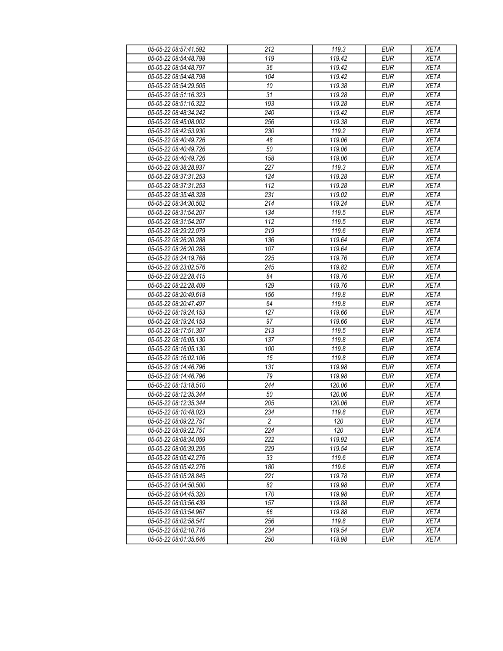| 05-05-22 08:57:41.592 | 212              | 119.3  | <b>EUR</b> | <b>XETA</b> |
|-----------------------|------------------|--------|------------|-------------|
| 05-05-22 08:54:48.798 | 119              | 119.42 | <b>EUR</b> | <b>XETA</b> |
| 05-05-22 08:54:48.797 | $\overline{36}$  | 119.42 | <b>EUR</b> | <b>XETA</b> |
| 05-05-22 08:54:48.798 | 104              | 119.42 | <b>EUR</b> | <b>XETA</b> |
| 05-05-22 08:54:29.505 | 10               | 119.38 | <b>EUR</b> | <b>XETA</b> |
| 05-05-22 08:51:16.323 | 31               | 119.28 | <b>EUR</b> | <b>XETA</b> |
| 05-05-22 08:51:16.322 | 193              | 119.28 | <b>EUR</b> | <b>XETA</b> |
| 05-05-22 08:48:34.242 | 240              | 119.42 | <b>EUR</b> | <b>XETA</b> |
| 05-05-22 08:45:08.002 | 256              | 119.38 | <b>EUR</b> | <b>XETA</b> |
| 05-05-22 08:42:53.930 | 230              | 119.2  | <b>EUR</b> | <b>XETA</b> |
| 05-05-22 08:40:49.726 | 48               | 119.06 | <b>EUR</b> | <b>XETA</b> |
| 05-05-22 08:40:49.726 | 50               | 119.06 | <b>EUR</b> | <b>XETA</b> |
| 05-05-22 08:40:49.726 | 158              | 119.06 | <b>EUR</b> | <b>XETA</b> |
| 05-05-22 08:38:28.937 | 227              | 119.3  | <b>EUR</b> | <b>XETA</b> |
| 05-05-22 08:37:31.253 | 124              | 119.28 | EUR        | <b>XETA</b> |
| 05-05-22 08:37:31.253 | 112              | 119.28 | <b>EUR</b> | <b>XETA</b> |
| 05-05-22 08:35:48.328 | $\overline{231}$ | 119.02 | <b>EUR</b> | <b>XETA</b> |
| 05-05-22 08:34:30.502 | 214              | 119.24 | <b>EUR</b> | <b>XETA</b> |
| 05-05-22 08:31:54.207 | 134              | 119.5  | <b>EUR</b> | <b>XETA</b> |
| 05-05-22 08:31:54.207 | 112              | 119.5  | <b>EUR</b> | <b>XETA</b> |
| 05-05-22 08:29:22.079 | 219              | 119.6  | <b>EUR</b> | <b>XETA</b> |
| 05-05-22 08:26:20.288 | 136              | 119.64 | <b>EUR</b> | <b>XETA</b> |
| 05-05-22 08:26:20.288 | 107              | 119.64 | <b>EUR</b> | <b>XETA</b> |
| 05-05-22 08:24:19.768 | 225              | 119.76 | <b>EUR</b> | <b>XETA</b> |
| 05-05-22 08:23:02.576 | 245              | 119.82 | <b>EUR</b> | <b>XETA</b> |
| 05-05-22 08:22:28.415 | 84               | 119.76 | <b>EUR</b> | <b>XETA</b> |
| 05-05-22 08:22:28.409 | 129              | 119.76 | <b>EUR</b> | <b>XETA</b> |
| 05-05-22 08:20:49.618 | 156              | 119.8  | <b>EUR</b> | <b>XETA</b> |
| 05-05-22 08:20:47.497 | 64               | 119.8  | <b>EUR</b> | <b>XETA</b> |
| 05-05-22 08:19:24.153 | 127              | 119.66 | <b>EUR</b> | <b>XETA</b> |
| 05-05-22 08:19:24.153 | 97               | 119.66 | <b>EUR</b> | <b>XETA</b> |
| 05-05-22 08:17:51.307 | 213              | 119.5  | <b>EUR</b> | <b>XETA</b> |
| 05-05-22 08:16:05.130 | 137              | 119.8  | <b>EUR</b> | <b>XETA</b> |
| 05-05-22 08:16:05.130 | 100              | 119.8  | <b>EUR</b> | <b>XETA</b> |
| 05-05-22 08:16:02.106 | 15               | 119.8  | <b>EUR</b> | <b>XETA</b> |
| 05-05-22 08:14:46.796 | 131              | 119.98 | <b>EUR</b> | <b>XETA</b> |
| 05-05-22 08:14:46.796 | 79               | 119.98 | <b>EUR</b> | <b>XETA</b> |
| 05-05-22 08:13:18.510 | 244              | 120.06 | <b>EUR</b> | <b>XETA</b> |
| 05-05-22 08:12:35.344 | 50               | 120.06 | <b>EUR</b> | <b>XETA</b> |
| 05-05-22 08:12:35.344 | 205              | 120.06 | <b>EUR</b> | <b>XETA</b> |
| 05-05-22 08:10:48.023 | 234              | 119.8  | <b>EUR</b> | <b>XETA</b> |
| 05-05-22 08:09:22.751 | $\overline{2}$   | 120    | <b>EUR</b> | <b>XETA</b> |
| 05-05-22 08:09:22.751 | 224              | 120    | <b>EUR</b> | <b>XETA</b> |
| 05-05-22 08:08:34.059 | 222              | 119.92 | <b>EUR</b> | <b>XETA</b> |
| 05-05-22 08:06:39.295 | 229              | 119.54 | <b>EUR</b> | <b>XETA</b> |
| 05-05-22 08:05:42.276 | 33               | 119.6  | <b>EUR</b> | <b>XETA</b> |
| 05-05-22 08:05:42.276 | 180              | 119.6  | <b>EUR</b> | <b>XETA</b> |
| 05-05-22 08:05:28.845 | 221              | 119.78 | <b>EUR</b> | <b>XETA</b> |
| 05-05-22 08:04:50.500 | 82               | 119.98 | <b>EUR</b> | <b>XETA</b> |
| 05-05-22 08:04:45.320 | 170              | 119.98 | <b>EUR</b> | <b>XETA</b> |
| 05-05-22 08:03:56.439 | 157              | 119.88 | <b>EUR</b> | <b>XETA</b> |
| 05-05-22 08:03:54.967 | 66               | 119.88 | <b>EUR</b> | <b>XETA</b> |
| 05-05-22 08:02:58.541 | 256              | 119.8  | <b>EUR</b> | <b>XETA</b> |
| 05-05-22 08:02:10.716 | 234              | 119.54 | <b>EUR</b> | <b>XETA</b> |
| 05-05-22 08:01:35.646 | 250              | 118.98 | <b>EUR</b> | <b>XETA</b> |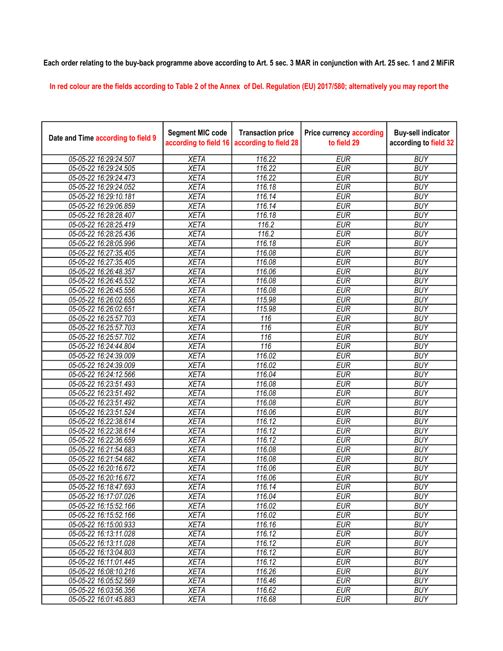## Each order relating to the buy-back programme above according to Art. 5 sec. 3 MAR in conjunction with Art. 25 sec. 1 and 2 MiFiR

In red colour are the fields according to Table 2 of the Annex of Del. Regulation (EU) 2017/580; alternatively you may report the

| Date and Time according to field 9 | <b>Segment MIC code</b><br>according to field 16 | <b>Transaction price</b><br>according to field 28 | <b>Price currency according</b><br>to field 29 | <b>Buy-sell indicator</b><br>according to field 32 |
|------------------------------------|--------------------------------------------------|---------------------------------------------------|------------------------------------------------|----------------------------------------------------|
| 05-05-22 16:29:24.507              | <b>XETA</b>                                      | 116.22                                            | <b>EUR</b>                                     | <b>BUY</b>                                         |
| 05-05-22 16:29:24.505              | <b>XETA</b>                                      | 116.22                                            | <b>EUR</b>                                     | <b>BUY</b>                                         |
| 05-05-22 16:29:24.473              | <b>XETA</b>                                      | 116.22                                            | <b>EUR</b>                                     | <b>BUY</b>                                         |
| 05-05-22 16:29:24.052              | <b>XETA</b>                                      | 116.18                                            | <b>EUR</b>                                     | <b>BUY</b>                                         |
| 05-05-22 16:29:10.181              | <b>XETA</b>                                      | 116.14                                            | <b>EUR</b>                                     | <b>BUY</b>                                         |
| 05-05-22 16:29:06.859              | <b>XETA</b>                                      | 116.14                                            | <b>EUR</b>                                     | <b>BUY</b>                                         |
| 05-05-22 16:28:28.407              | <b>XETA</b>                                      | 116.18                                            | <b>EUR</b>                                     | <b>BUY</b>                                         |
| 05-05-22 16:28:25.419              | <b>XETA</b>                                      | 116.2                                             | <b>EUR</b>                                     | <b>BUY</b>                                         |
| 05-05-22 16:28:25.436              | <b>XETA</b>                                      | 116.2                                             | <b>EUR</b>                                     | <b>BUY</b>                                         |
| 05-05-22 16:28:05.996              | <b>XETA</b>                                      | 116.18                                            | <b>EUR</b>                                     | <b>BUY</b>                                         |
| 05-05-22 16:27:35.405              | <b>XETA</b>                                      | 116.08                                            | <b>EUR</b>                                     | <b>BUY</b>                                         |
| 05-05-22 16:27:35.405              | <b>XETA</b>                                      | 116.08                                            | <b>EUR</b>                                     | <b>BUY</b>                                         |
| 05-05-22 16:26:48.357              | <b>XETA</b>                                      | 116.06                                            | <b>EUR</b>                                     | <b>BUY</b>                                         |
| 05-05-22 16:26:45.532              | <b>XETA</b>                                      | 116.08                                            | <b>EUR</b>                                     | <b>BUY</b>                                         |
| 05-05-22 16:26:45.556              | <b>XETA</b>                                      | 116.08                                            | <b>EUR</b>                                     | <b>BUY</b>                                         |
| 05-05-22 16:26:02.655              | <b>XETA</b>                                      | 115.98                                            | <b>EUR</b>                                     | <b>BUY</b>                                         |
| 05-05-22 16:26:02.651              | <b>XETA</b>                                      | 115.98                                            | <b>EUR</b>                                     | <b>BUY</b>                                         |
| 05-05-22 16:25:57.703              | <b>XETA</b>                                      | 116                                               | <b>EUR</b>                                     | <b>BUY</b>                                         |
| 05-05-22 16:25:57.703              | <b>XETA</b>                                      | 116                                               | <b>EUR</b>                                     | <b>BUY</b>                                         |
| 05-05-22 16:25:57.702              | <b>XETA</b>                                      | $\overline{116}$                                  | <b>EUR</b>                                     | <b>BUY</b>                                         |
| 05-05-22 16:24:44.804              | <b>XETA</b>                                      | $\overline{116}$                                  | <b>EUR</b>                                     | <b>BUY</b>                                         |
| 05-05-22 16:24:39.009              | <b>XETA</b>                                      | 116.02                                            | <b>EUR</b>                                     | <b>BUY</b>                                         |
| 05-05-22 16:24:39.009              | <b>XETA</b>                                      | 116.02                                            | <b>EUR</b>                                     | <b>BUY</b>                                         |
| 05-05-22 16:24:12.566              | <b>XETA</b>                                      | 116.04                                            | <b>EUR</b>                                     | <b>BUY</b>                                         |
| 05-05-22 16:23:51.493              | <b>XETA</b>                                      | 116.08                                            | <b>EUR</b>                                     | <b>BUY</b>                                         |
| 05-05-22 16:23:51.492              | <b>XETA</b>                                      | 116.08                                            | <b>EUR</b>                                     | <b>BUY</b>                                         |
| 05-05-22 16:23:51.492              | <b>XETA</b>                                      | 116.08                                            | <b>EUR</b>                                     | <b>BUY</b>                                         |
| 05-05-22 16:23:51.524              | <b>XETA</b>                                      | 116.06                                            | <b>EUR</b>                                     | <b>BUY</b>                                         |
| 05-05-22 16:22:38.614              | <b>XETA</b>                                      | 116.12                                            | <b>EUR</b>                                     | <b>BUY</b>                                         |
| 05-05-22 16:22:38.614              | <b>XETA</b>                                      | 116.12                                            | <b>EUR</b>                                     | <b>BUY</b>                                         |
| 05-05-22 16:22:36.659              | <b>XETA</b>                                      | 116.12                                            | <b>EUR</b>                                     | <b>BUY</b>                                         |
| 05-05-22 16:21:54.683              | <b>XETA</b>                                      | 116.08                                            | <b>EUR</b>                                     | <b>BUY</b>                                         |
| 05-05-22 16:21:54.682              | <b>XETA</b>                                      | 116.08                                            | <b>EUR</b>                                     | <b>BUY</b>                                         |
| 05-05-22 16:20:16.672              | <b>XETA</b>                                      | 116.06                                            | <b>EUR</b>                                     | <b>BUY</b>                                         |
| 05-05-22 16:20:16.672              | <b>XETA</b>                                      | 116.06                                            | <b>EUR</b>                                     | <b>BUY</b>                                         |
| 05-05-22 16:18:47.693              | <b>XETA</b>                                      | 116.14                                            | <b>EUR</b>                                     | <b>BUY</b>                                         |
| 05-05-22 16:17:07.026              | <b>XETA</b>                                      | 116.04                                            | <b>EUR</b>                                     | <b>BUY</b>                                         |
| 05-05-22 16:15:52.166              | <b>XETA</b>                                      | 116.02                                            | <b>EUR</b>                                     | <b>BUY</b>                                         |
| 05-05-22 16:15:52.166              | <b>XETA</b>                                      | 116.02                                            | <b>EUR</b>                                     | <b>BUY</b>                                         |
| 05-05-22 16:15:00.933              | <b>XETA</b>                                      | 116.16                                            | <b>EUR</b>                                     | <b>BUY</b>                                         |
| 05-05-22 16:13:11.028              | <b>XETA</b>                                      | 116.12                                            | <b>EUR</b>                                     | <b>BUY</b>                                         |
| 05-05-22 16:13:11.028              | <b>XETA</b>                                      | 116.12                                            | <b>EUR</b>                                     | <b>BUY</b>                                         |
| 05-05-22 16:13:04.803              | <b>XETA</b>                                      | 116.12                                            | <b>EUR</b>                                     | <b>BUY</b>                                         |
| 05-05-22 16:11:01.445              | <b>XETA</b>                                      | 116.12                                            | <b>EUR</b>                                     | <b>BUY</b>                                         |
| 05-05-22 16:08:10.216              | <b>XETA</b>                                      | 116.26                                            | <b>EUR</b>                                     | <b>BUY</b>                                         |
| 05-05-22 16:05:52.569              | <b>XETA</b>                                      | 116.46                                            | <b>EUR</b>                                     | <b>BUY</b>                                         |
| 05-05-22 16:03:56.356              | <b>XETA</b>                                      | 116.62                                            | <b>EUR</b>                                     | <b>BUY</b>                                         |
| 05-05-22 16:01:45.883              | <b>XETA</b>                                      | 116.68                                            | <b>EUR</b>                                     | <b>BUY</b>                                         |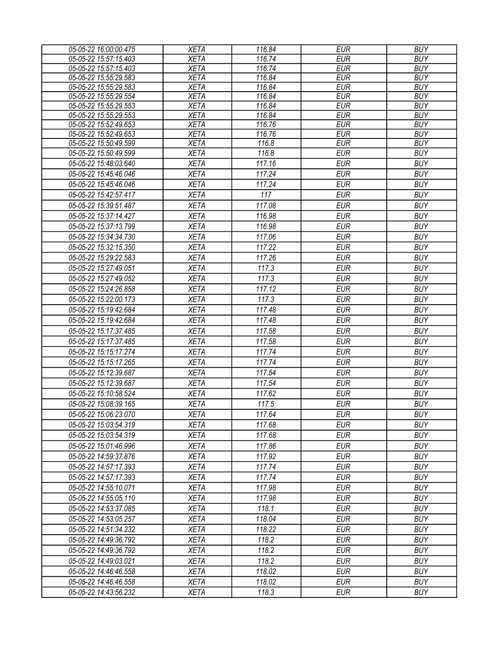| <b>XETA</b><br><b>EUR</b><br><b>BUY</b><br>05-05-22 15:57:15.403<br>116.74<br><b>XETA</b><br><b>EUR</b><br>05-05-22 15:57:15.403<br>116.74<br><b>BUY</b><br><b>XETA</b><br>05-05-22 15:55:29.583<br>116.84<br><b>EUR</b><br><b>BUY</b><br>05-05-22 15:55:29.583<br><b>XETA</b><br>116.84<br><b>EUR</b><br><b>BUY</b><br>05-05-22 15:55:29.554<br><b>XETA</b><br>116.84<br><b>EUR</b><br><b>BUY</b><br><b>EUR</b><br><b>BUY</b><br>05-05-22 15:55:29.553<br><b>XETA</b><br>116.84<br>05-05-22 15:55:29.553<br><b>XETA</b><br>116.84<br><b>EUR</b><br><b>BUY</b><br>05-05-22 15:52:49.653<br>116.76<br><b>XETA</b><br><b>EUR</b><br><b>BUY</b><br><b>XETA</b><br>116.76<br><b>EUR</b><br><b>BUY</b><br>05-05-22 15:52:49.653<br><b>XETA</b><br>116.8<br><b>EUR</b><br><b>BUY</b><br>05-05-22 15:50:49.599<br>116.8<br><b>EUR</b><br>05-05-22 15:50:49.599<br><b>XETA</b><br><b>BUY</b><br><b>EUR</b><br><b>XETA</b><br>117.16<br><b>BUY</b><br>05-05-22 15:48:03.640<br>05-05-22 15:45:46.046<br><b>XETA</b><br>117.24<br><b>EUR</b><br><b>BUY</b><br>117.24<br><b>EUR</b><br><b>BUY</b><br>05-05-22 15:45:46.046<br><b>XETA</b><br>117<br>05-05-22 15:42:57.417<br><b>XETA</b><br><b>EUR</b><br><b>BUY</b><br>117.08<br><b>EUR</b><br><b>BUY</b><br>05-05-22 15:39:51.487<br><b>XETA</b><br><b>XETA</b><br><b>BUY</b><br>05-05-22 15:37:14.427<br>116.98<br><b>EUR</b><br><b>XETA</b><br>116.98<br><b>EUR</b><br><b>BUY</b><br>05-05-22 15:37:13.799<br><b>EUR</b><br><b>BUY</b><br>05-05-22 15:34:34.730<br><b>XETA</b><br>117.06<br><b>EUR</b><br><b>XETA</b><br>117.22<br><b>BUY</b><br>05-05-22 15:32:15.350<br><b>XETA</b><br>117.26<br><b>EUR</b><br><b>BUY</b><br>05-05-22 15:29:22.583<br><b>BUY</b><br>05-05-22 15:27:49.051<br><b>XETA</b><br>117.3<br><b>EUR</b><br>117.3<br><b>EUR</b><br>05-05-22 15:27:49.052<br><b>XETA</b><br><b>BUY</b><br>117.12<br><b>EUR</b><br><b>BUY</b><br>05-05-22 15:24:26.858<br><b>XETA</b><br>117.3<br><b>BUY</b><br>05-05-22 15:22:00.173<br><b>XETA</b><br><b>EUR</b><br><b>BUY</b><br>05-05-22 15:19:42.684<br><b>XETA</b><br>117.48<br><b>EUR</b><br><b>EUR</b><br>05-05-22 15:19:42.684<br><b>XETA</b><br>117.48<br><b>BUY</b><br>117.58<br><b>EUR</b><br><b>BUY</b><br>05-05-22 15:17:37.485<br><b>XETA</b><br>05-05-22 15:17:37.485<br>117.58<br><b>EUR</b><br><b>BUY</b><br><b>XETA</b><br>05-05-22 15:15:17.274<br><b>XETA</b><br>117.74<br><b>EUR</b><br><b>BUY</b><br>05-05-22 15:15:17.265<br><b>XETA</b><br>117.74<br><b>EUR</b><br><b>BUY</b><br><b>EUR</b><br><b>BUY</b><br>05-05-22 15:12:39.687<br><b>XETA</b><br>117.54<br>05-05-22 15:12:39.687<br><b>XETA</b><br>117.54<br><b>EUR</b><br><b>BUY</b><br><b>BUY</b><br>05-05-22 15:10:58.524<br><b>XETA</b><br>117.62<br><b>EUR</b><br>05-05-22 15:08:39.165<br>117.5<br><b>EUR</b><br><b>BUY</b><br><b>XETA</b><br><b>XETA</b><br>117.64<br><b>EUR</b><br><b>BUY</b><br>05-05-22 15:06:23.070<br><b>XETA</b><br>117.68<br>EUR<br><b>BUY</b><br>05-05-22 15:03:54.319<br><b>BUY</b><br>05-05-22 15:03:54.319<br><b>XETA</b><br>117.68<br>EUR<br>117.86<br><b>EUR</b><br><b>BUY</b><br>05-05-22 15:01:46.996<br><b>XETA</b><br>117.92<br><b>EUR</b><br><b>BUY</b><br>05-05-22 14:59:37.876<br><b>XETA</b><br><b>BUY</b><br><b>XETA</b><br>117.74<br><b>EUR</b><br>05-05-22 14:57:17.393<br><b>XETA</b><br>117.74<br><b>EUR</b><br><b>BUY</b><br>05-05-22 14:57:17.393<br><b>EUR</b><br><b>BUY</b><br><b>XETA</b><br>117.98<br>05-05-22 14:55:10.071<br><b>EUR</b><br><b>BUY</b><br>05-05-22 14:55:05.110<br><b>XETA</b><br>117.98<br>118.1<br><b>EUR</b><br><b>BUY</b><br>05-05-22 14:53:37.085<br><b>XETA</b><br><b>BUY</b><br>05-05-22 14:53:05.257<br><b>XETA</b><br>118.04<br>EUR<br><b>XETA</b><br>118.22<br><b>EUR</b><br><b>BUY</b><br>05-05-22 14:51:34.232<br>118.2<br><b>EUR</b><br><b>BUY</b><br>05-05-22 14:49:36.792<br><b>XETA</b><br>118.2<br><b>EUR</b><br><b>BUY</b><br>05-05-22 14:49:36.792<br><b>XETA</b><br><b>XETA</b><br>118.2<br><b>EUR</b><br><b>BUY</b><br>05-05-22 14:49:03.021<br><b>XETA</b><br>118.02<br><b>EUR</b><br><b>BUY</b><br>05-05-22 14:46:46.558<br><b>XETA</b><br><b>EUR</b><br><b>BUY</b><br>05-05-22 14:46:46.558<br>118.02<br>118.3<br><b>EUR</b><br><b>BUY</b><br><b>XETA</b><br>05-05-22 14:43:56.232 | 05-05-22 16:00:00.475 | <b>XETA</b> | 116.84 | <b>EUR</b> | <b>BUY</b> |
|-----------------------------------------------------------------------------------------------------------------------------------------------------------------------------------------------------------------------------------------------------------------------------------------------------------------------------------------------------------------------------------------------------------------------------------------------------------------------------------------------------------------------------------------------------------------------------------------------------------------------------------------------------------------------------------------------------------------------------------------------------------------------------------------------------------------------------------------------------------------------------------------------------------------------------------------------------------------------------------------------------------------------------------------------------------------------------------------------------------------------------------------------------------------------------------------------------------------------------------------------------------------------------------------------------------------------------------------------------------------------------------------------------------------------------------------------------------------------------------------------------------------------------------------------------------------------------------------------------------------------------------------------------------------------------------------------------------------------------------------------------------------------------------------------------------------------------------------------------------------------------------------------------------------------------------------------------------------------------------------------------------------------------------------------------------------------------------------------------------------------------------------------------------------------------------------------------------------------------------------------------------------------------------------------------------------------------------------------------------------------------------------------------------------------------------------------------------------------------------------------------------------------------------------------------------------------------------------------------------------------------------------------------------------------------------------------------------------------------------------------------------------------------------------------------------------------------------------------------------------------------------------------------------------------------------------------------------------------------------------------------------------------------------------------------------------------------------------------------------------------------------------------------------------------------------------------------------------------------------------------------------------------------------------------------------------------------------------------------------------------------------------------------------------------------------------------------------------------------------------------------------------------------------------------------------------------------------------------------------------------------------------------------------------------------------------------------------------------------------------------------------------------------------------------------------------------------------------------------------------------------------------------------------------------------------------------------------------------------------------------------------------------------------------------------------------------------------------------------------------------------------------------------------------------------------------------------------------------------------------------------------------|-----------------------|-------------|--------|------------|------------|
|                                                                                                                                                                                                                                                                                                                                                                                                                                                                                                                                                                                                                                                                                                                                                                                                                                                                                                                                                                                                                                                                                                                                                                                                                                                                                                                                                                                                                                                                                                                                                                                                                                                                                                                                                                                                                                                                                                                                                                                                                                                                                                                                                                                                                                                                                                                                                                                                                                                                                                                                                                                                                                                                                                                                                                                                                                                                                                                                                                                                                                                                                                                                                                                                                                                                                                                                                                                                                                                                                                                                                                                                                                                                                                                                                                                                                                                                                                                                                                                                                                                                                                                                                                                                                                                                 |                       |             |        |            |            |
|                                                                                                                                                                                                                                                                                                                                                                                                                                                                                                                                                                                                                                                                                                                                                                                                                                                                                                                                                                                                                                                                                                                                                                                                                                                                                                                                                                                                                                                                                                                                                                                                                                                                                                                                                                                                                                                                                                                                                                                                                                                                                                                                                                                                                                                                                                                                                                                                                                                                                                                                                                                                                                                                                                                                                                                                                                                                                                                                                                                                                                                                                                                                                                                                                                                                                                                                                                                                                                                                                                                                                                                                                                                                                                                                                                                                                                                                                                                                                                                                                                                                                                                                                                                                                                                                 |                       |             |        |            |            |
|                                                                                                                                                                                                                                                                                                                                                                                                                                                                                                                                                                                                                                                                                                                                                                                                                                                                                                                                                                                                                                                                                                                                                                                                                                                                                                                                                                                                                                                                                                                                                                                                                                                                                                                                                                                                                                                                                                                                                                                                                                                                                                                                                                                                                                                                                                                                                                                                                                                                                                                                                                                                                                                                                                                                                                                                                                                                                                                                                                                                                                                                                                                                                                                                                                                                                                                                                                                                                                                                                                                                                                                                                                                                                                                                                                                                                                                                                                                                                                                                                                                                                                                                                                                                                                                                 |                       |             |        |            |            |
|                                                                                                                                                                                                                                                                                                                                                                                                                                                                                                                                                                                                                                                                                                                                                                                                                                                                                                                                                                                                                                                                                                                                                                                                                                                                                                                                                                                                                                                                                                                                                                                                                                                                                                                                                                                                                                                                                                                                                                                                                                                                                                                                                                                                                                                                                                                                                                                                                                                                                                                                                                                                                                                                                                                                                                                                                                                                                                                                                                                                                                                                                                                                                                                                                                                                                                                                                                                                                                                                                                                                                                                                                                                                                                                                                                                                                                                                                                                                                                                                                                                                                                                                                                                                                                                                 |                       |             |        |            |            |
|                                                                                                                                                                                                                                                                                                                                                                                                                                                                                                                                                                                                                                                                                                                                                                                                                                                                                                                                                                                                                                                                                                                                                                                                                                                                                                                                                                                                                                                                                                                                                                                                                                                                                                                                                                                                                                                                                                                                                                                                                                                                                                                                                                                                                                                                                                                                                                                                                                                                                                                                                                                                                                                                                                                                                                                                                                                                                                                                                                                                                                                                                                                                                                                                                                                                                                                                                                                                                                                                                                                                                                                                                                                                                                                                                                                                                                                                                                                                                                                                                                                                                                                                                                                                                                                                 |                       |             |        |            |            |
|                                                                                                                                                                                                                                                                                                                                                                                                                                                                                                                                                                                                                                                                                                                                                                                                                                                                                                                                                                                                                                                                                                                                                                                                                                                                                                                                                                                                                                                                                                                                                                                                                                                                                                                                                                                                                                                                                                                                                                                                                                                                                                                                                                                                                                                                                                                                                                                                                                                                                                                                                                                                                                                                                                                                                                                                                                                                                                                                                                                                                                                                                                                                                                                                                                                                                                                                                                                                                                                                                                                                                                                                                                                                                                                                                                                                                                                                                                                                                                                                                                                                                                                                                                                                                                                                 |                       |             |        |            |            |
|                                                                                                                                                                                                                                                                                                                                                                                                                                                                                                                                                                                                                                                                                                                                                                                                                                                                                                                                                                                                                                                                                                                                                                                                                                                                                                                                                                                                                                                                                                                                                                                                                                                                                                                                                                                                                                                                                                                                                                                                                                                                                                                                                                                                                                                                                                                                                                                                                                                                                                                                                                                                                                                                                                                                                                                                                                                                                                                                                                                                                                                                                                                                                                                                                                                                                                                                                                                                                                                                                                                                                                                                                                                                                                                                                                                                                                                                                                                                                                                                                                                                                                                                                                                                                                                                 |                       |             |        |            |            |
|                                                                                                                                                                                                                                                                                                                                                                                                                                                                                                                                                                                                                                                                                                                                                                                                                                                                                                                                                                                                                                                                                                                                                                                                                                                                                                                                                                                                                                                                                                                                                                                                                                                                                                                                                                                                                                                                                                                                                                                                                                                                                                                                                                                                                                                                                                                                                                                                                                                                                                                                                                                                                                                                                                                                                                                                                                                                                                                                                                                                                                                                                                                                                                                                                                                                                                                                                                                                                                                                                                                                                                                                                                                                                                                                                                                                                                                                                                                                                                                                                                                                                                                                                                                                                                                                 |                       |             |        |            |            |
|                                                                                                                                                                                                                                                                                                                                                                                                                                                                                                                                                                                                                                                                                                                                                                                                                                                                                                                                                                                                                                                                                                                                                                                                                                                                                                                                                                                                                                                                                                                                                                                                                                                                                                                                                                                                                                                                                                                                                                                                                                                                                                                                                                                                                                                                                                                                                                                                                                                                                                                                                                                                                                                                                                                                                                                                                                                                                                                                                                                                                                                                                                                                                                                                                                                                                                                                                                                                                                                                                                                                                                                                                                                                                                                                                                                                                                                                                                                                                                                                                                                                                                                                                                                                                                                                 |                       |             |        |            |            |
|                                                                                                                                                                                                                                                                                                                                                                                                                                                                                                                                                                                                                                                                                                                                                                                                                                                                                                                                                                                                                                                                                                                                                                                                                                                                                                                                                                                                                                                                                                                                                                                                                                                                                                                                                                                                                                                                                                                                                                                                                                                                                                                                                                                                                                                                                                                                                                                                                                                                                                                                                                                                                                                                                                                                                                                                                                                                                                                                                                                                                                                                                                                                                                                                                                                                                                                                                                                                                                                                                                                                                                                                                                                                                                                                                                                                                                                                                                                                                                                                                                                                                                                                                                                                                                                                 |                       |             |        |            |            |
|                                                                                                                                                                                                                                                                                                                                                                                                                                                                                                                                                                                                                                                                                                                                                                                                                                                                                                                                                                                                                                                                                                                                                                                                                                                                                                                                                                                                                                                                                                                                                                                                                                                                                                                                                                                                                                                                                                                                                                                                                                                                                                                                                                                                                                                                                                                                                                                                                                                                                                                                                                                                                                                                                                                                                                                                                                                                                                                                                                                                                                                                                                                                                                                                                                                                                                                                                                                                                                                                                                                                                                                                                                                                                                                                                                                                                                                                                                                                                                                                                                                                                                                                                                                                                                                                 |                       |             |        |            |            |
|                                                                                                                                                                                                                                                                                                                                                                                                                                                                                                                                                                                                                                                                                                                                                                                                                                                                                                                                                                                                                                                                                                                                                                                                                                                                                                                                                                                                                                                                                                                                                                                                                                                                                                                                                                                                                                                                                                                                                                                                                                                                                                                                                                                                                                                                                                                                                                                                                                                                                                                                                                                                                                                                                                                                                                                                                                                                                                                                                                                                                                                                                                                                                                                                                                                                                                                                                                                                                                                                                                                                                                                                                                                                                                                                                                                                                                                                                                                                                                                                                                                                                                                                                                                                                                                                 |                       |             |        |            |            |
|                                                                                                                                                                                                                                                                                                                                                                                                                                                                                                                                                                                                                                                                                                                                                                                                                                                                                                                                                                                                                                                                                                                                                                                                                                                                                                                                                                                                                                                                                                                                                                                                                                                                                                                                                                                                                                                                                                                                                                                                                                                                                                                                                                                                                                                                                                                                                                                                                                                                                                                                                                                                                                                                                                                                                                                                                                                                                                                                                                                                                                                                                                                                                                                                                                                                                                                                                                                                                                                                                                                                                                                                                                                                                                                                                                                                                                                                                                                                                                                                                                                                                                                                                                                                                                                                 |                       |             |        |            |            |
|                                                                                                                                                                                                                                                                                                                                                                                                                                                                                                                                                                                                                                                                                                                                                                                                                                                                                                                                                                                                                                                                                                                                                                                                                                                                                                                                                                                                                                                                                                                                                                                                                                                                                                                                                                                                                                                                                                                                                                                                                                                                                                                                                                                                                                                                                                                                                                                                                                                                                                                                                                                                                                                                                                                                                                                                                                                                                                                                                                                                                                                                                                                                                                                                                                                                                                                                                                                                                                                                                                                                                                                                                                                                                                                                                                                                                                                                                                                                                                                                                                                                                                                                                                                                                                                                 |                       |             |        |            |            |
|                                                                                                                                                                                                                                                                                                                                                                                                                                                                                                                                                                                                                                                                                                                                                                                                                                                                                                                                                                                                                                                                                                                                                                                                                                                                                                                                                                                                                                                                                                                                                                                                                                                                                                                                                                                                                                                                                                                                                                                                                                                                                                                                                                                                                                                                                                                                                                                                                                                                                                                                                                                                                                                                                                                                                                                                                                                                                                                                                                                                                                                                                                                                                                                                                                                                                                                                                                                                                                                                                                                                                                                                                                                                                                                                                                                                                                                                                                                                                                                                                                                                                                                                                                                                                                                                 |                       |             |        |            |            |
|                                                                                                                                                                                                                                                                                                                                                                                                                                                                                                                                                                                                                                                                                                                                                                                                                                                                                                                                                                                                                                                                                                                                                                                                                                                                                                                                                                                                                                                                                                                                                                                                                                                                                                                                                                                                                                                                                                                                                                                                                                                                                                                                                                                                                                                                                                                                                                                                                                                                                                                                                                                                                                                                                                                                                                                                                                                                                                                                                                                                                                                                                                                                                                                                                                                                                                                                                                                                                                                                                                                                                                                                                                                                                                                                                                                                                                                                                                                                                                                                                                                                                                                                                                                                                                                                 |                       |             |        |            |            |
|                                                                                                                                                                                                                                                                                                                                                                                                                                                                                                                                                                                                                                                                                                                                                                                                                                                                                                                                                                                                                                                                                                                                                                                                                                                                                                                                                                                                                                                                                                                                                                                                                                                                                                                                                                                                                                                                                                                                                                                                                                                                                                                                                                                                                                                                                                                                                                                                                                                                                                                                                                                                                                                                                                                                                                                                                                                                                                                                                                                                                                                                                                                                                                                                                                                                                                                                                                                                                                                                                                                                                                                                                                                                                                                                                                                                                                                                                                                                                                                                                                                                                                                                                                                                                                                                 |                       |             |        |            |            |
|                                                                                                                                                                                                                                                                                                                                                                                                                                                                                                                                                                                                                                                                                                                                                                                                                                                                                                                                                                                                                                                                                                                                                                                                                                                                                                                                                                                                                                                                                                                                                                                                                                                                                                                                                                                                                                                                                                                                                                                                                                                                                                                                                                                                                                                                                                                                                                                                                                                                                                                                                                                                                                                                                                                                                                                                                                                                                                                                                                                                                                                                                                                                                                                                                                                                                                                                                                                                                                                                                                                                                                                                                                                                                                                                                                                                                                                                                                                                                                                                                                                                                                                                                                                                                                                                 |                       |             |        |            |            |
|                                                                                                                                                                                                                                                                                                                                                                                                                                                                                                                                                                                                                                                                                                                                                                                                                                                                                                                                                                                                                                                                                                                                                                                                                                                                                                                                                                                                                                                                                                                                                                                                                                                                                                                                                                                                                                                                                                                                                                                                                                                                                                                                                                                                                                                                                                                                                                                                                                                                                                                                                                                                                                                                                                                                                                                                                                                                                                                                                                                                                                                                                                                                                                                                                                                                                                                                                                                                                                                                                                                                                                                                                                                                                                                                                                                                                                                                                                                                                                                                                                                                                                                                                                                                                                                                 |                       |             |        |            |            |
|                                                                                                                                                                                                                                                                                                                                                                                                                                                                                                                                                                                                                                                                                                                                                                                                                                                                                                                                                                                                                                                                                                                                                                                                                                                                                                                                                                                                                                                                                                                                                                                                                                                                                                                                                                                                                                                                                                                                                                                                                                                                                                                                                                                                                                                                                                                                                                                                                                                                                                                                                                                                                                                                                                                                                                                                                                                                                                                                                                                                                                                                                                                                                                                                                                                                                                                                                                                                                                                                                                                                                                                                                                                                                                                                                                                                                                                                                                                                                                                                                                                                                                                                                                                                                                                                 |                       |             |        |            |            |
|                                                                                                                                                                                                                                                                                                                                                                                                                                                                                                                                                                                                                                                                                                                                                                                                                                                                                                                                                                                                                                                                                                                                                                                                                                                                                                                                                                                                                                                                                                                                                                                                                                                                                                                                                                                                                                                                                                                                                                                                                                                                                                                                                                                                                                                                                                                                                                                                                                                                                                                                                                                                                                                                                                                                                                                                                                                                                                                                                                                                                                                                                                                                                                                                                                                                                                                                                                                                                                                                                                                                                                                                                                                                                                                                                                                                                                                                                                                                                                                                                                                                                                                                                                                                                                                                 |                       |             |        |            |            |
|                                                                                                                                                                                                                                                                                                                                                                                                                                                                                                                                                                                                                                                                                                                                                                                                                                                                                                                                                                                                                                                                                                                                                                                                                                                                                                                                                                                                                                                                                                                                                                                                                                                                                                                                                                                                                                                                                                                                                                                                                                                                                                                                                                                                                                                                                                                                                                                                                                                                                                                                                                                                                                                                                                                                                                                                                                                                                                                                                                                                                                                                                                                                                                                                                                                                                                                                                                                                                                                                                                                                                                                                                                                                                                                                                                                                                                                                                                                                                                                                                                                                                                                                                                                                                                                                 |                       |             |        |            |            |
|                                                                                                                                                                                                                                                                                                                                                                                                                                                                                                                                                                                                                                                                                                                                                                                                                                                                                                                                                                                                                                                                                                                                                                                                                                                                                                                                                                                                                                                                                                                                                                                                                                                                                                                                                                                                                                                                                                                                                                                                                                                                                                                                                                                                                                                                                                                                                                                                                                                                                                                                                                                                                                                                                                                                                                                                                                                                                                                                                                                                                                                                                                                                                                                                                                                                                                                                                                                                                                                                                                                                                                                                                                                                                                                                                                                                                                                                                                                                                                                                                                                                                                                                                                                                                                                                 |                       |             |        |            |            |
|                                                                                                                                                                                                                                                                                                                                                                                                                                                                                                                                                                                                                                                                                                                                                                                                                                                                                                                                                                                                                                                                                                                                                                                                                                                                                                                                                                                                                                                                                                                                                                                                                                                                                                                                                                                                                                                                                                                                                                                                                                                                                                                                                                                                                                                                                                                                                                                                                                                                                                                                                                                                                                                                                                                                                                                                                                                                                                                                                                                                                                                                                                                                                                                                                                                                                                                                                                                                                                                                                                                                                                                                                                                                                                                                                                                                                                                                                                                                                                                                                                                                                                                                                                                                                                                                 |                       |             |        |            |            |
|                                                                                                                                                                                                                                                                                                                                                                                                                                                                                                                                                                                                                                                                                                                                                                                                                                                                                                                                                                                                                                                                                                                                                                                                                                                                                                                                                                                                                                                                                                                                                                                                                                                                                                                                                                                                                                                                                                                                                                                                                                                                                                                                                                                                                                                                                                                                                                                                                                                                                                                                                                                                                                                                                                                                                                                                                                                                                                                                                                                                                                                                                                                                                                                                                                                                                                                                                                                                                                                                                                                                                                                                                                                                                                                                                                                                                                                                                                                                                                                                                                                                                                                                                                                                                                                                 |                       |             |        |            |            |
|                                                                                                                                                                                                                                                                                                                                                                                                                                                                                                                                                                                                                                                                                                                                                                                                                                                                                                                                                                                                                                                                                                                                                                                                                                                                                                                                                                                                                                                                                                                                                                                                                                                                                                                                                                                                                                                                                                                                                                                                                                                                                                                                                                                                                                                                                                                                                                                                                                                                                                                                                                                                                                                                                                                                                                                                                                                                                                                                                                                                                                                                                                                                                                                                                                                                                                                                                                                                                                                                                                                                                                                                                                                                                                                                                                                                                                                                                                                                                                                                                                                                                                                                                                                                                                                                 |                       |             |        |            |            |
|                                                                                                                                                                                                                                                                                                                                                                                                                                                                                                                                                                                                                                                                                                                                                                                                                                                                                                                                                                                                                                                                                                                                                                                                                                                                                                                                                                                                                                                                                                                                                                                                                                                                                                                                                                                                                                                                                                                                                                                                                                                                                                                                                                                                                                                                                                                                                                                                                                                                                                                                                                                                                                                                                                                                                                                                                                                                                                                                                                                                                                                                                                                                                                                                                                                                                                                                                                                                                                                                                                                                                                                                                                                                                                                                                                                                                                                                                                                                                                                                                                                                                                                                                                                                                                                                 |                       |             |        |            |            |
|                                                                                                                                                                                                                                                                                                                                                                                                                                                                                                                                                                                                                                                                                                                                                                                                                                                                                                                                                                                                                                                                                                                                                                                                                                                                                                                                                                                                                                                                                                                                                                                                                                                                                                                                                                                                                                                                                                                                                                                                                                                                                                                                                                                                                                                                                                                                                                                                                                                                                                                                                                                                                                                                                                                                                                                                                                                                                                                                                                                                                                                                                                                                                                                                                                                                                                                                                                                                                                                                                                                                                                                                                                                                                                                                                                                                                                                                                                                                                                                                                                                                                                                                                                                                                                                                 |                       |             |        |            |            |
|                                                                                                                                                                                                                                                                                                                                                                                                                                                                                                                                                                                                                                                                                                                                                                                                                                                                                                                                                                                                                                                                                                                                                                                                                                                                                                                                                                                                                                                                                                                                                                                                                                                                                                                                                                                                                                                                                                                                                                                                                                                                                                                                                                                                                                                                                                                                                                                                                                                                                                                                                                                                                                                                                                                                                                                                                                                                                                                                                                                                                                                                                                                                                                                                                                                                                                                                                                                                                                                                                                                                                                                                                                                                                                                                                                                                                                                                                                                                                                                                                                                                                                                                                                                                                                                                 |                       |             |        |            |            |
|                                                                                                                                                                                                                                                                                                                                                                                                                                                                                                                                                                                                                                                                                                                                                                                                                                                                                                                                                                                                                                                                                                                                                                                                                                                                                                                                                                                                                                                                                                                                                                                                                                                                                                                                                                                                                                                                                                                                                                                                                                                                                                                                                                                                                                                                                                                                                                                                                                                                                                                                                                                                                                                                                                                                                                                                                                                                                                                                                                                                                                                                                                                                                                                                                                                                                                                                                                                                                                                                                                                                                                                                                                                                                                                                                                                                                                                                                                                                                                                                                                                                                                                                                                                                                                                                 |                       |             |        |            |            |
|                                                                                                                                                                                                                                                                                                                                                                                                                                                                                                                                                                                                                                                                                                                                                                                                                                                                                                                                                                                                                                                                                                                                                                                                                                                                                                                                                                                                                                                                                                                                                                                                                                                                                                                                                                                                                                                                                                                                                                                                                                                                                                                                                                                                                                                                                                                                                                                                                                                                                                                                                                                                                                                                                                                                                                                                                                                                                                                                                                                                                                                                                                                                                                                                                                                                                                                                                                                                                                                                                                                                                                                                                                                                                                                                                                                                                                                                                                                                                                                                                                                                                                                                                                                                                                                                 |                       |             |        |            |            |
|                                                                                                                                                                                                                                                                                                                                                                                                                                                                                                                                                                                                                                                                                                                                                                                                                                                                                                                                                                                                                                                                                                                                                                                                                                                                                                                                                                                                                                                                                                                                                                                                                                                                                                                                                                                                                                                                                                                                                                                                                                                                                                                                                                                                                                                                                                                                                                                                                                                                                                                                                                                                                                                                                                                                                                                                                                                                                                                                                                                                                                                                                                                                                                                                                                                                                                                                                                                                                                                                                                                                                                                                                                                                                                                                                                                                                                                                                                                                                                                                                                                                                                                                                                                                                                                                 |                       |             |        |            |            |
|                                                                                                                                                                                                                                                                                                                                                                                                                                                                                                                                                                                                                                                                                                                                                                                                                                                                                                                                                                                                                                                                                                                                                                                                                                                                                                                                                                                                                                                                                                                                                                                                                                                                                                                                                                                                                                                                                                                                                                                                                                                                                                                                                                                                                                                                                                                                                                                                                                                                                                                                                                                                                                                                                                                                                                                                                                                                                                                                                                                                                                                                                                                                                                                                                                                                                                                                                                                                                                                                                                                                                                                                                                                                                                                                                                                                                                                                                                                                                                                                                                                                                                                                                                                                                                                                 |                       |             |        |            |            |
|                                                                                                                                                                                                                                                                                                                                                                                                                                                                                                                                                                                                                                                                                                                                                                                                                                                                                                                                                                                                                                                                                                                                                                                                                                                                                                                                                                                                                                                                                                                                                                                                                                                                                                                                                                                                                                                                                                                                                                                                                                                                                                                                                                                                                                                                                                                                                                                                                                                                                                                                                                                                                                                                                                                                                                                                                                                                                                                                                                                                                                                                                                                                                                                                                                                                                                                                                                                                                                                                                                                                                                                                                                                                                                                                                                                                                                                                                                                                                                                                                                                                                                                                                                                                                                                                 |                       |             |        |            |            |
|                                                                                                                                                                                                                                                                                                                                                                                                                                                                                                                                                                                                                                                                                                                                                                                                                                                                                                                                                                                                                                                                                                                                                                                                                                                                                                                                                                                                                                                                                                                                                                                                                                                                                                                                                                                                                                                                                                                                                                                                                                                                                                                                                                                                                                                                                                                                                                                                                                                                                                                                                                                                                                                                                                                                                                                                                                                                                                                                                                                                                                                                                                                                                                                                                                                                                                                                                                                                                                                                                                                                                                                                                                                                                                                                                                                                                                                                                                                                                                                                                                                                                                                                                                                                                                                                 |                       |             |        |            |            |
|                                                                                                                                                                                                                                                                                                                                                                                                                                                                                                                                                                                                                                                                                                                                                                                                                                                                                                                                                                                                                                                                                                                                                                                                                                                                                                                                                                                                                                                                                                                                                                                                                                                                                                                                                                                                                                                                                                                                                                                                                                                                                                                                                                                                                                                                                                                                                                                                                                                                                                                                                                                                                                                                                                                                                                                                                                                                                                                                                                                                                                                                                                                                                                                                                                                                                                                                                                                                                                                                                                                                                                                                                                                                                                                                                                                                                                                                                                                                                                                                                                                                                                                                                                                                                                                                 |                       |             |        |            |            |
|                                                                                                                                                                                                                                                                                                                                                                                                                                                                                                                                                                                                                                                                                                                                                                                                                                                                                                                                                                                                                                                                                                                                                                                                                                                                                                                                                                                                                                                                                                                                                                                                                                                                                                                                                                                                                                                                                                                                                                                                                                                                                                                                                                                                                                                                                                                                                                                                                                                                                                                                                                                                                                                                                                                                                                                                                                                                                                                                                                                                                                                                                                                                                                                                                                                                                                                                                                                                                                                                                                                                                                                                                                                                                                                                                                                                                                                                                                                                                                                                                                                                                                                                                                                                                                                                 |                       |             |        |            |            |
|                                                                                                                                                                                                                                                                                                                                                                                                                                                                                                                                                                                                                                                                                                                                                                                                                                                                                                                                                                                                                                                                                                                                                                                                                                                                                                                                                                                                                                                                                                                                                                                                                                                                                                                                                                                                                                                                                                                                                                                                                                                                                                                                                                                                                                                                                                                                                                                                                                                                                                                                                                                                                                                                                                                                                                                                                                                                                                                                                                                                                                                                                                                                                                                                                                                                                                                                                                                                                                                                                                                                                                                                                                                                                                                                                                                                                                                                                                                                                                                                                                                                                                                                                                                                                                                                 |                       |             |        |            |            |
|                                                                                                                                                                                                                                                                                                                                                                                                                                                                                                                                                                                                                                                                                                                                                                                                                                                                                                                                                                                                                                                                                                                                                                                                                                                                                                                                                                                                                                                                                                                                                                                                                                                                                                                                                                                                                                                                                                                                                                                                                                                                                                                                                                                                                                                                                                                                                                                                                                                                                                                                                                                                                                                                                                                                                                                                                                                                                                                                                                                                                                                                                                                                                                                                                                                                                                                                                                                                                                                                                                                                                                                                                                                                                                                                                                                                                                                                                                                                                                                                                                                                                                                                                                                                                                                                 |                       |             |        |            |            |
|                                                                                                                                                                                                                                                                                                                                                                                                                                                                                                                                                                                                                                                                                                                                                                                                                                                                                                                                                                                                                                                                                                                                                                                                                                                                                                                                                                                                                                                                                                                                                                                                                                                                                                                                                                                                                                                                                                                                                                                                                                                                                                                                                                                                                                                                                                                                                                                                                                                                                                                                                                                                                                                                                                                                                                                                                                                                                                                                                                                                                                                                                                                                                                                                                                                                                                                                                                                                                                                                                                                                                                                                                                                                                                                                                                                                                                                                                                                                                                                                                                                                                                                                                                                                                                                                 |                       |             |        |            |            |
|                                                                                                                                                                                                                                                                                                                                                                                                                                                                                                                                                                                                                                                                                                                                                                                                                                                                                                                                                                                                                                                                                                                                                                                                                                                                                                                                                                                                                                                                                                                                                                                                                                                                                                                                                                                                                                                                                                                                                                                                                                                                                                                                                                                                                                                                                                                                                                                                                                                                                                                                                                                                                                                                                                                                                                                                                                                                                                                                                                                                                                                                                                                                                                                                                                                                                                                                                                                                                                                                                                                                                                                                                                                                                                                                                                                                                                                                                                                                                                                                                                                                                                                                                                                                                                                                 |                       |             |        |            |            |
|                                                                                                                                                                                                                                                                                                                                                                                                                                                                                                                                                                                                                                                                                                                                                                                                                                                                                                                                                                                                                                                                                                                                                                                                                                                                                                                                                                                                                                                                                                                                                                                                                                                                                                                                                                                                                                                                                                                                                                                                                                                                                                                                                                                                                                                                                                                                                                                                                                                                                                                                                                                                                                                                                                                                                                                                                                                                                                                                                                                                                                                                                                                                                                                                                                                                                                                                                                                                                                                                                                                                                                                                                                                                                                                                                                                                                                                                                                                                                                                                                                                                                                                                                                                                                                                                 |                       |             |        |            |            |
|                                                                                                                                                                                                                                                                                                                                                                                                                                                                                                                                                                                                                                                                                                                                                                                                                                                                                                                                                                                                                                                                                                                                                                                                                                                                                                                                                                                                                                                                                                                                                                                                                                                                                                                                                                                                                                                                                                                                                                                                                                                                                                                                                                                                                                                                                                                                                                                                                                                                                                                                                                                                                                                                                                                                                                                                                                                                                                                                                                                                                                                                                                                                                                                                                                                                                                                                                                                                                                                                                                                                                                                                                                                                                                                                                                                                                                                                                                                                                                                                                                                                                                                                                                                                                                                                 |                       |             |        |            |            |
|                                                                                                                                                                                                                                                                                                                                                                                                                                                                                                                                                                                                                                                                                                                                                                                                                                                                                                                                                                                                                                                                                                                                                                                                                                                                                                                                                                                                                                                                                                                                                                                                                                                                                                                                                                                                                                                                                                                                                                                                                                                                                                                                                                                                                                                                                                                                                                                                                                                                                                                                                                                                                                                                                                                                                                                                                                                                                                                                                                                                                                                                                                                                                                                                                                                                                                                                                                                                                                                                                                                                                                                                                                                                                                                                                                                                                                                                                                                                                                                                                                                                                                                                                                                                                                                                 |                       |             |        |            |            |
|                                                                                                                                                                                                                                                                                                                                                                                                                                                                                                                                                                                                                                                                                                                                                                                                                                                                                                                                                                                                                                                                                                                                                                                                                                                                                                                                                                                                                                                                                                                                                                                                                                                                                                                                                                                                                                                                                                                                                                                                                                                                                                                                                                                                                                                                                                                                                                                                                                                                                                                                                                                                                                                                                                                                                                                                                                                                                                                                                                                                                                                                                                                                                                                                                                                                                                                                                                                                                                                                                                                                                                                                                                                                                                                                                                                                                                                                                                                                                                                                                                                                                                                                                                                                                                                                 |                       |             |        |            |            |
|                                                                                                                                                                                                                                                                                                                                                                                                                                                                                                                                                                                                                                                                                                                                                                                                                                                                                                                                                                                                                                                                                                                                                                                                                                                                                                                                                                                                                                                                                                                                                                                                                                                                                                                                                                                                                                                                                                                                                                                                                                                                                                                                                                                                                                                                                                                                                                                                                                                                                                                                                                                                                                                                                                                                                                                                                                                                                                                                                                                                                                                                                                                                                                                                                                                                                                                                                                                                                                                                                                                                                                                                                                                                                                                                                                                                                                                                                                                                                                                                                                                                                                                                                                                                                                                                 |                       |             |        |            |            |
|                                                                                                                                                                                                                                                                                                                                                                                                                                                                                                                                                                                                                                                                                                                                                                                                                                                                                                                                                                                                                                                                                                                                                                                                                                                                                                                                                                                                                                                                                                                                                                                                                                                                                                                                                                                                                                                                                                                                                                                                                                                                                                                                                                                                                                                                                                                                                                                                                                                                                                                                                                                                                                                                                                                                                                                                                                                                                                                                                                                                                                                                                                                                                                                                                                                                                                                                                                                                                                                                                                                                                                                                                                                                                                                                                                                                                                                                                                                                                                                                                                                                                                                                                                                                                                                                 |                       |             |        |            |            |
|                                                                                                                                                                                                                                                                                                                                                                                                                                                                                                                                                                                                                                                                                                                                                                                                                                                                                                                                                                                                                                                                                                                                                                                                                                                                                                                                                                                                                                                                                                                                                                                                                                                                                                                                                                                                                                                                                                                                                                                                                                                                                                                                                                                                                                                                                                                                                                                                                                                                                                                                                                                                                                                                                                                                                                                                                                                                                                                                                                                                                                                                                                                                                                                                                                                                                                                                                                                                                                                                                                                                                                                                                                                                                                                                                                                                                                                                                                                                                                                                                                                                                                                                                                                                                                                                 |                       |             |        |            |            |
|                                                                                                                                                                                                                                                                                                                                                                                                                                                                                                                                                                                                                                                                                                                                                                                                                                                                                                                                                                                                                                                                                                                                                                                                                                                                                                                                                                                                                                                                                                                                                                                                                                                                                                                                                                                                                                                                                                                                                                                                                                                                                                                                                                                                                                                                                                                                                                                                                                                                                                                                                                                                                                                                                                                                                                                                                                                                                                                                                                                                                                                                                                                                                                                                                                                                                                                                                                                                                                                                                                                                                                                                                                                                                                                                                                                                                                                                                                                                                                                                                                                                                                                                                                                                                                                                 |                       |             |        |            |            |
|                                                                                                                                                                                                                                                                                                                                                                                                                                                                                                                                                                                                                                                                                                                                                                                                                                                                                                                                                                                                                                                                                                                                                                                                                                                                                                                                                                                                                                                                                                                                                                                                                                                                                                                                                                                                                                                                                                                                                                                                                                                                                                                                                                                                                                                                                                                                                                                                                                                                                                                                                                                                                                                                                                                                                                                                                                                                                                                                                                                                                                                                                                                                                                                                                                                                                                                                                                                                                                                                                                                                                                                                                                                                                                                                                                                                                                                                                                                                                                                                                                                                                                                                                                                                                                                                 |                       |             |        |            |            |
|                                                                                                                                                                                                                                                                                                                                                                                                                                                                                                                                                                                                                                                                                                                                                                                                                                                                                                                                                                                                                                                                                                                                                                                                                                                                                                                                                                                                                                                                                                                                                                                                                                                                                                                                                                                                                                                                                                                                                                                                                                                                                                                                                                                                                                                                                                                                                                                                                                                                                                                                                                                                                                                                                                                                                                                                                                                                                                                                                                                                                                                                                                                                                                                                                                                                                                                                                                                                                                                                                                                                                                                                                                                                                                                                                                                                                                                                                                                                                                                                                                                                                                                                                                                                                                                                 |                       |             |        |            |            |
|                                                                                                                                                                                                                                                                                                                                                                                                                                                                                                                                                                                                                                                                                                                                                                                                                                                                                                                                                                                                                                                                                                                                                                                                                                                                                                                                                                                                                                                                                                                                                                                                                                                                                                                                                                                                                                                                                                                                                                                                                                                                                                                                                                                                                                                                                                                                                                                                                                                                                                                                                                                                                                                                                                                                                                                                                                                                                                                                                                                                                                                                                                                                                                                                                                                                                                                                                                                                                                                                                                                                                                                                                                                                                                                                                                                                                                                                                                                                                                                                                                                                                                                                                                                                                                                                 |                       |             |        |            |            |
|                                                                                                                                                                                                                                                                                                                                                                                                                                                                                                                                                                                                                                                                                                                                                                                                                                                                                                                                                                                                                                                                                                                                                                                                                                                                                                                                                                                                                                                                                                                                                                                                                                                                                                                                                                                                                                                                                                                                                                                                                                                                                                                                                                                                                                                                                                                                                                                                                                                                                                                                                                                                                                                                                                                                                                                                                                                                                                                                                                                                                                                                                                                                                                                                                                                                                                                                                                                                                                                                                                                                                                                                                                                                                                                                                                                                                                                                                                                                                                                                                                                                                                                                                                                                                                                                 |                       |             |        |            |            |
|                                                                                                                                                                                                                                                                                                                                                                                                                                                                                                                                                                                                                                                                                                                                                                                                                                                                                                                                                                                                                                                                                                                                                                                                                                                                                                                                                                                                                                                                                                                                                                                                                                                                                                                                                                                                                                                                                                                                                                                                                                                                                                                                                                                                                                                                                                                                                                                                                                                                                                                                                                                                                                                                                                                                                                                                                                                                                                                                                                                                                                                                                                                                                                                                                                                                                                                                                                                                                                                                                                                                                                                                                                                                                                                                                                                                                                                                                                                                                                                                                                                                                                                                                                                                                                                                 |                       |             |        |            |            |
|                                                                                                                                                                                                                                                                                                                                                                                                                                                                                                                                                                                                                                                                                                                                                                                                                                                                                                                                                                                                                                                                                                                                                                                                                                                                                                                                                                                                                                                                                                                                                                                                                                                                                                                                                                                                                                                                                                                                                                                                                                                                                                                                                                                                                                                                                                                                                                                                                                                                                                                                                                                                                                                                                                                                                                                                                                                                                                                                                                                                                                                                                                                                                                                                                                                                                                                                                                                                                                                                                                                                                                                                                                                                                                                                                                                                                                                                                                                                                                                                                                                                                                                                                                                                                                                                 |                       |             |        |            |            |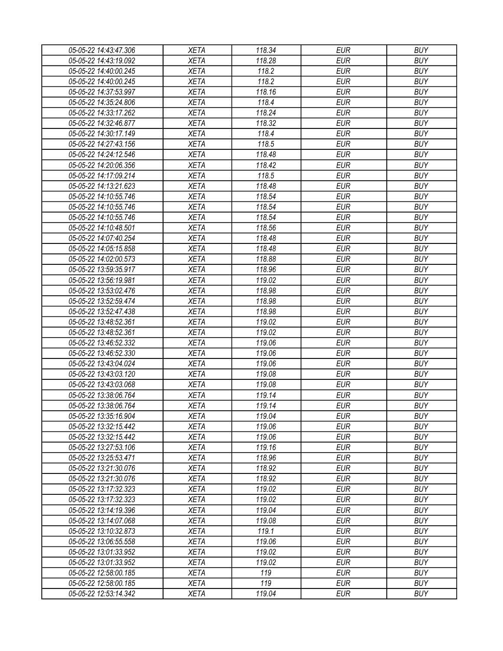| 05-05-22 14:43:47.306 | XETA        | 118.34 | EUR        | <b>BUY</b> |
|-----------------------|-------------|--------|------------|------------|
| 05-05-22 14:43:19.092 | <b>XETA</b> | 118.28 | <b>EUR</b> | <b>BUY</b> |
| 05-05-22 14:40:00.245 | <b>XETA</b> | 118.2  | <b>EUR</b> | <b>BUY</b> |
| 05-05-22 14:40:00.245 | <b>XETA</b> | 118.2  | <b>EUR</b> | <b>BUY</b> |
| 05-05-22 14:37:53.997 | <b>XETA</b> | 118.16 | <b>EUR</b> | <b>BUY</b> |
| 05-05-22 14:35:24.806 | <b>XETA</b> | 118.4  | <b>EUR</b> | <b>BUY</b> |
| 05-05-22 14:33:17.262 | <b>XETA</b> | 118.24 | <b>EUR</b> | <b>BUY</b> |
| 05-05-22 14:32:46.877 | <b>XETA</b> | 118.32 | <b>EUR</b> | <b>BUY</b> |
| 05-05-22 14:30:17.149 | <b>XETA</b> | 118.4  | <b>EUR</b> | <b>BUY</b> |
| 05-05-22 14:27:43.156 | <b>XETA</b> | 118.5  | <b>EUR</b> | <b>BUY</b> |
| 05-05-22 14:24:12.546 | <b>XETA</b> | 118.48 | <b>EUR</b> | <b>BUY</b> |
| 05-05-22 14:20:06.356 | <b>XETA</b> | 118.42 | <b>EUR</b> | <b>BUY</b> |
| 05-05-22 14:17:09.214 | <b>XETA</b> | 118.5  | <b>EUR</b> | <b>BUY</b> |
| 05-05-22 14:13:21.623 | <b>XETA</b> | 118.48 | <b>EUR</b> | <b>BUY</b> |
| 05-05-22 14:10:55.746 | <b>XETA</b> | 118.54 | <b>EUR</b> | <b>BUY</b> |
| 05-05-22 14:10:55.746 | <b>XETA</b> | 118.54 | <b>EUR</b> | <b>BUY</b> |
| 05-05-22 14:10:55.746 | <b>XETA</b> | 118.54 | <b>EUR</b> | <b>BUY</b> |
| 05-05-22 14:10:48.501 | <b>XETA</b> | 118.56 | <b>EUR</b> | <b>BUY</b> |
| 05-05-22 14:07:40.254 | <b>XETA</b> | 118.48 | <b>EUR</b> | <b>BUY</b> |
| 05-05-22 14:05:15.858 | <b>XETA</b> | 118.48 | <b>EUR</b> | <b>BUY</b> |
| 05-05-22 14:02:00.573 | <b>XETA</b> | 118.88 | <b>EUR</b> | <b>BUY</b> |
| 05-05-22 13:59:35.917 | <b>XETA</b> | 118.96 | <b>EUR</b> | <b>BUY</b> |
| 05-05-22 13:56:19.981 | <b>XETA</b> | 119.02 | <b>EUR</b> | <b>BUY</b> |
| 05-05-22 13:53:02.476 | <b>XETA</b> | 118.98 | <b>EUR</b> | <b>BUY</b> |
| 05-05-22 13:52:59.474 | <b>XETA</b> | 118.98 | <b>EUR</b> | <b>BUY</b> |
| 05-05-22 13:52:47.438 | <b>XETA</b> | 118.98 | <b>EUR</b> | <b>BUY</b> |
| 05-05-22 13:48:52.361 | <b>XETA</b> | 119.02 | <b>EUR</b> | <b>BUY</b> |
| 05-05-22 13:48:52.361 | <b>XETA</b> | 119.02 | <b>EUR</b> | <b>BUY</b> |
| 05-05-22 13:46:52.332 | <b>XETA</b> | 119.06 | <b>EUR</b> | <b>BUY</b> |
| 05-05-22 13:46:52.330 | <b>XETA</b> | 119.06 | <b>EUR</b> | <b>BUY</b> |
| 05-05-22 13:43:04.024 | <b>XETA</b> | 119.06 | <b>EUR</b> | <b>BUY</b> |
| 05-05-22 13:43:03.120 | <b>XETA</b> | 119.08 | <b>EUR</b> | <b>BUY</b> |
| 05-05-22 13:43:03.068 | <b>XETA</b> | 119.08 | <b>EUR</b> | <b>BUY</b> |
| 05-05-22 13:38:06.764 | <b>XETA</b> | 119.14 | <b>EUR</b> | <b>BUY</b> |
| 05-05-22 13:38:06.764 | <b>XETA</b> | 119.14 | <b>EUR</b> | <b>BUY</b> |
| 05-05-22 13:35:16.904 | <b>XETA</b> | 119.04 | <b>EUR</b> | <b>BUY</b> |
| 05-05-22 13:32:15.442 | <b>XETA</b> | 119.06 | <b>EUR</b> | <b>BUY</b> |
| 05-05-22 13:32:15.442 | <b>XETA</b> | 119.06 | <b>EUR</b> | <b>BUY</b> |
| 05-05-22 13:27:53.106 | <b>XETA</b> | 119.16 | <b>EUR</b> | <b>BUY</b> |
| 05-05-22 13:25:53.471 | <b>XETA</b> | 118.96 | <b>EUR</b> | <b>BUY</b> |
| 05-05-22 13:21:30.076 | <b>XETA</b> | 118.92 | <b>EUR</b> | <b>BUY</b> |
| 05-05-22 13:21:30.076 | <b>XETA</b> | 118.92 | <b>EUR</b> | <b>BUY</b> |
| 05-05-22 13:17:32.323 | <b>XETA</b> | 119.02 | <b>EUR</b> | <b>BUY</b> |
| 05-05-22 13:17:32.323 | <b>XETA</b> | 119.02 | <b>EUR</b> | <b>BUY</b> |
| 05-05-22 13:14:19.396 | <b>XETA</b> | 119.04 | <b>EUR</b> | <b>BUY</b> |
| 05-05-22 13:14:07.068 | <b>XETA</b> | 119.08 | <b>EUR</b> | <b>BUY</b> |
| 05-05-22 13:10:32.873 | <b>XETA</b> | 119.1  | <b>EUR</b> | <b>BUY</b> |
| 05-05-22 13:06:55.558 | <b>XETA</b> | 119.06 | <b>EUR</b> | <b>BUY</b> |
| 05-05-22 13:01:33.952 | <b>XETA</b> | 119.02 | <b>EUR</b> | <b>BUY</b> |
| 05-05-22 13:01:33.952 | <b>XETA</b> | 119.02 | <b>EUR</b> | <b>BUY</b> |
| 05-05-22 12:58:00.185 | <b>XETA</b> | 119    | EUR        | <b>BUY</b> |
| 05-05-22 12:58:00.185 | <b>XETA</b> | 119    | <b>EUR</b> | <b>BUY</b> |
| 05-05-22 12:53:14.342 | <b>XETA</b> | 119.04 | <b>EUR</b> | <b>BUY</b> |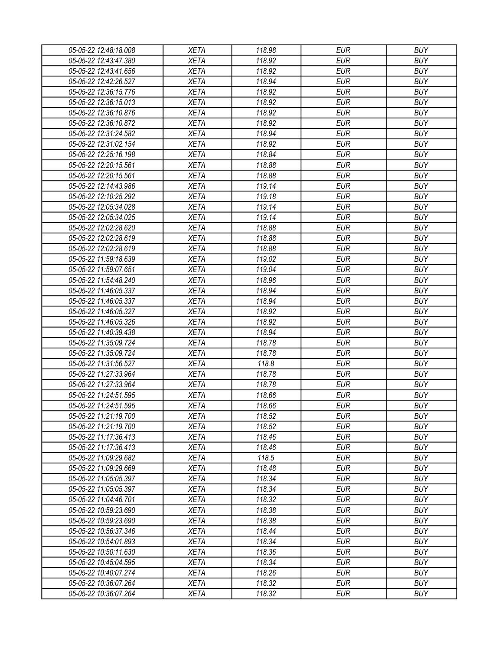| 05-05-22 12:48:18.008 | <b>XETA</b> | 118.98 | <b>EUR</b> | <b>BUY</b> |
|-----------------------|-------------|--------|------------|------------|
| 05-05-22 12:43:47.380 | <b>XETA</b> | 118.92 | <b>EUR</b> | <b>BUY</b> |
| 05-05-22 12:43:41.656 | <b>XETA</b> | 118.92 | <b>EUR</b> | <b>BUY</b> |
| 05-05-22 12:42:26.527 | <b>XETA</b> | 118.94 | <b>EUR</b> | <b>BUY</b> |
| 05-05-22 12:36:15.776 | <b>XETA</b> | 118.92 | <b>EUR</b> | <b>BUY</b> |
| 05-05-22 12:36:15.013 | <b>XETA</b> | 118.92 | <b>EUR</b> | <b>BUY</b> |
| 05-05-22 12:36:10.876 | <b>XETA</b> | 118.92 | <b>EUR</b> | <b>BUY</b> |
| 05-05-22 12:36:10.872 | <b>XETA</b> | 118.92 | <b>EUR</b> | <b>BUY</b> |
| 05-05-22 12:31:24.582 | <b>XETA</b> | 118.94 | <b>EUR</b> | <b>BUY</b> |
| 05-05-22 12:31:02.154 | <b>XETA</b> | 118.92 | <b>EUR</b> | <b>BUY</b> |
| 05-05-22 12:25:16.198 | <b>XETA</b> | 118.84 | <b>EUR</b> | <b>BUY</b> |
| 05-05-22 12:20:15.561 | <b>XETA</b> | 118.88 | <b>EUR</b> | <b>BUY</b> |
| 05-05-22 12:20:15.561 | <b>XETA</b> | 118.88 | <b>EUR</b> | <b>BUY</b> |
| 05-05-22 12:14:43.986 | <b>XETA</b> | 119.14 | <b>EUR</b> | <b>BUY</b> |
| 05-05-22 12:10:25.292 | <b>XETA</b> | 119.18 | <b>EUR</b> | <b>BUY</b> |
| 05-05-22 12:05:34.028 | <b>XETA</b> | 119.14 | <b>EUR</b> | <b>BUY</b> |
| 05-05-22 12:05:34.025 | <b>XETA</b> | 119.14 | <b>EUR</b> | <b>BUY</b> |
| 05-05-22 12:02:28.620 | <b>XETA</b> | 118.88 | <b>EUR</b> | <b>BUY</b> |
| 05-05-22 12:02:28.619 | <b>XETA</b> | 118.88 | <b>EUR</b> | <b>BUY</b> |
| 05-05-22 12:02:28.619 | <b>XETA</b> | 118.88 | <b>EUR</b> | <b>BUY</b> |
| 05-05-22 11:59:18.639 | <b>XETA</b> | 119.02 | <b>EUR</b> | <b>BUY</b> |
| 05-05-22 11:59:07.651 | <b>XETA</b> | 119.04 | <b>EUR</b> | <b>BUY</b> |
| 05-05-22 11:54:48.240 | <b>XETA</b> | 118.96 | <b>EUR</b> | <b>BUY</b> |
| 05-05-22 11:46:05.337 | <b>XETA</b> | 118.94 | <b>EUR</b> | <b>BUY</b> |
| 05-05-22 11:46:05.337 | <b>XETA</b> | 118.94 | <b>EUR</b> | <b>BUY</b> |
| 05-05-22 11:46:05.327 | <b>XETA</b> | 118.92 | <b>EUR</b> | <b>BUY</b> |
| 05-05-22 11:46:05.326 | <b>XETA</b> | 118.92 | <b>EUR</b> | <b>BUY</b> |
| 05-05-22 11:40:39.438 | <b>XETA</b> | 118.94 | <b>EUR</b> | <b>BUY</b> |
| 05-05-22 11:35:09.724 | <b>XETA</b> | 118.78 | <b>EUR</b> | <b>BUY</b> |
| 05-05-22 11:35:09.724 | <b>XETA</b> | 118.78 | <b>EUR</b> | <b>BUY</b> |
| 05-05-22 11:31:56.527 | <b>XETA</b> | 118.8  | <b>EUR</b> | <b>BUY</b> |
| 05-05-22 11:27:33.964 | <b>XETA</b> | 118.78 | <b>EUR</b> | <b>BUY</b> |
| 05-05-22 11:27:33.964 | <b>XETA</b> | 118.78 | <b>EUR</b> | <b>BUY</b> |
| 05-05-22 11:24:51.595 | <b>XETA</b> | 118.66 | <b>EUR</b> | <b>BUY</b> |
| 05-05-22 11:24:51.595 | <b>XETA</b> | 118.66 | <b>EUR</b> | <b>BUY</b> |
| 05-05-22 11:21:19.700 | <b>XETA</b> | 118.52 | <b>EUR</b> | <b>BUY</b> |
| 05-05-22 11:21:19.700 | <b>XETA</b> | 118.52 | <b>EUR</b> | <b>BUY</b> |
| 05-05-22 11:17:36.413 | <b>XETA</b> | 118.46 | <b>EUR</b> | <b>BUY</b> |
| 05-05-22 11:17:36.413 | <b>XETA</b> | 118.46 | <b>EUR</b> | <b>BUY</b> |
| 05-05-22 11:09:29.682 | <b>XETA</b> | 118.5  | <b>EUR</b> | <b>BUY</b> |
| 05-05-22 11:09:29.669 | <b>XETA</b> | 118.48 | <b>EUR</b> | <b>BUY</b> |
| 05-05-22 11:05:05.397 | <b>XETA</b> | 118.34 | <b>EUR</b> | <b>BUY</b> |
| 05-05-22 11:05:05.397 | <b>XETA</b> | 118.34 | <b>EUR</b> | <b>BUY</b> |
| 05-05-22 11:04:46.701 | <b>XETA</b> | 118.32 | <b>EUR</b> | <b>BUY</b> |
| 05-05-22 10:59:23.690 | <b>XETA</b> | 118.38 | <b>EUR</b> | <b>BUY</b> |
| 05-05-22 10:59:23.690 | <b>XETA</b> | 118.38 | <b>EUR</b> | <b>BUY</b> |
| 05-05-22 10:56:37.346 | <b>XETA</b> | 118.44 | <b>EUR</b> | <b>BUY</b> |
| 05-05-22 10:54:01.893 | <b>XETA</b> | 118.34 | <b>EUR</b> | <b>BUY</b> |
| 05-05-22 10:50:11.630 | <b>XETA</b> | 118.36 | <b>EUR</b> | <b>BUY</b> |
| 05-05-22 10:45:04.595 | <b>XETA</b> | 118.34 | <b>EUR</b> | <b>BUY</b> |
| 05-05-22 10:40:07.274 | <b>XETA</b> | 118.26 | <b>EUR</b> | <b>BUY</b> |
| 05-05-22 10:36:07.264 | <b>XETA</b> | 118.32 | <b>EUR</b> | <b>BUY</b> |
| 05-05-22 10:36:07.264 | <b>XETA</b> | 118.32 | <b>EUR</b> | <b>BUY</b> |
|                       |             |        |            |            |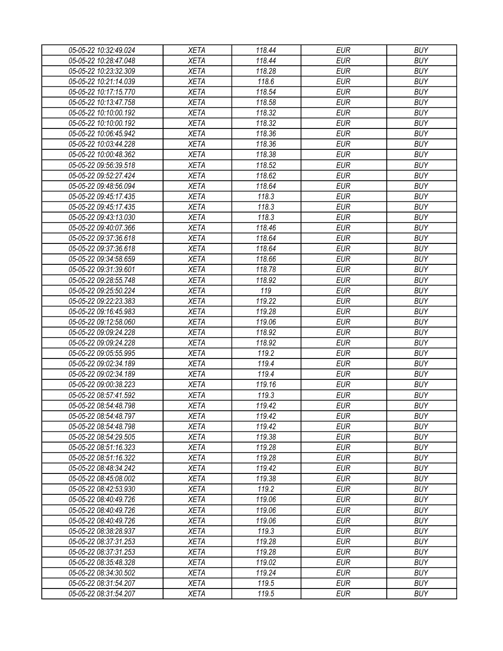| 05-05-22 10:32:49.024 | <b>XETA</b> | 118.44 | <b>EUR</b> | <b>BUY</b> |
|-----------------------|-------------|--------|------------|------------|
| 05-05-22 10:28:47.048 | <b>XETA</b> | 118.44 | <b>EUR</b> | <b>BUY</b> |
| 05-05-22 10:23:32.309 | <b>XETA</b> | 118.28 | <b>EUR</b> | <b>BUY</b> |
| 05-05-22 10:21:14.039 | <b>XETA</b> | 118.6  | <b>EUR</b> | <b>BUY</b> |
| 05-05-22 10:17:15.770 | <b>XETA</b> | 118.54 | <b>EUR</b> | <b>BUY</b> |
| 05-05-22 10:13:47.758 | <b>XETA</b> | 118.58 | <b>EUR</b> | <b>BUY</b> |
| 05-05-22 10:10:00.192 | <b>XETA</b> | 118.32 | <b>EUR</b> | <b>BUY</b> |
| 05-05-22 10:10:00.192 | <b>XETA</b> | 118.32 | <b>EUR</b> | <b>BUY</b> |
| 05-05-22 10:06:45.942 | <b>XETA</b> | 118.36 | <b>EUR</b> | <b>BUY</b> |
| 05-05-22 10:03:44.228 | <b>XETA</b> | 118.36 | <b>EUR</b> | <b>BUY</b> |
| 05-05-22 10:00:48.362 | <b>XETA</b> | 118.38 | <b>EUR</b> | <b>BUY</b> |
| 05-05-22 09:56:39.518 | <b>XETA</b> | 118.52 | <b>EUR</b> | <b>BUY</b> |
| 05-05-22 09:52:27.424 | <b>XETA</b> | 118.62 | <b>EUR</b> | <b>BUY</b> |
| 05-05-22 09:48:56.094 | <b>XETA</b> | 118.64 | <b>EUR</b> | <b>BUY</b> |
| 05-05-22 09:45:17.435 | <b>XETA</b> | 118.3  | <b>EUR</b> | <b>BUY</b> |
| 05-05-22 09:45:17.435 | <b>XETA</b> | 118.3  | <b>EUR</b> | <b>BUY</b> |
| 05-05-22 09:43:13.030 | <b>XETA</b> | 118.3  | <b>EUR</b> | <b>BUY</b> |
| 05-05-22 09:40:07.366 | <b>XETA</b> | 118.46 | <b>EUR</b> | <b>BUY</b> |
| 05-05-22 09:37:36.618 | <b>XETA</b> | 118.64 | <b>EUR</b> | <b>BUY</b> |
| 05-05-22 09:37:36.618 | <b>XETA</b> | 118.64 | <b>EUR</b> | <b>BUY</b> |
| 05-05-22 09:34:58.659 | <b>XETA</b> | 118.66 | <b>EUR</b> | <b>BUY</b> |
| 05-05-22 09:31:39.601 | <b>XETA</b> | 118.78 | <b>EUR</b> | <b>BUY</b> |
| 05-05-22 09:28:55.748 | <b>XETA</b> | 118.92 | <b>EUR</b> | <b>BUY</b> |
| 05-05-22 09:25:50.224 | <b>XETA</b> | 119    | <b>EUR</b> | <b>BUY</b> |
| 05-05-22 09:22:23.383 | <b>XETA</b> | 119.22 | <b>EUR</b> | <b>BUY</b> |
| 05-05-22 09:16:45.983 | <b>XETA</b> | 119.28 | <b>EUR</b> | <b>BUY</b> |
| 05-05-22 09:12:58.060 | <b>XETA</b> | 119.06 | <b>EUR</b> | <b>BUY</b> |
| 05-05-22 09:09:24.228 | <b>XETA</b> | 118.92 | <b>EUR</b> | <b>BUY</b> |
| 05-05-22 09:09:24.228 | <b>XETA</b> | 118.92 | <b>EUR</b> | <b>BUY</b> |
| 05-05-22 09:05:55.995 | <b>XETA</b> | 119.2  | <b>EUR</b> | <b>BUY</b> |
| 05-05-22 09:02:34.189 | <b>XETA</b> | 119.4  | <b>EUR</b> | <b>BUY</b> |
| 05-05-22 09:02:34.189 | <b>XETA</b> | 119.4  | <b>EUR</b> | <b>BUY</b> |
| 05-05-22 09:00:38.223 | <b>XETA</b> | 119.16 | <b>EUR</b> | <b>BUY</b> |
| 05-05-22 08:57:41.592 | <b>XETA</b> | 119.3  | <b>EUR</b> | <b>BUY</b> |
| 05-05-22 08:54:48.798 | <b>XETA</b> | 119.42 | <b>EUR</b> | <b>BUY</b> |
| 05-05-22 08:54:48.797 | <b>XETA</b> | 119.42 | <b>EUR</b> | <b>BUY</b> |
| 05-05-22 08:54:48.798 | <b>XETA</b> | 119.42 | <b>EUR</b> | <b>BUY</b> |
| 05-05-22 08:54:29.505 | <b>XETA</b> | 119.38 | <b>EUR</b> | <b>BUY</b> |
| 05-05-22 08:51:16.323 | <b>XETA</b> | 119.28 | <b>EUR</b> | <b>BUY</b> |
| 05-05-22 08:51:16.322 | <b>XETA</b> | 119.28 | <b>EUR</b> | <b>BUY</b> |
| 05-05-22 08:48:34.242 | <b>XETA</b> | 119.42 | <b>EUR</b> | <b>BUY</b> |
| 05-05-22 08:45:08.002 | <b>XETA</b> | 119.38 | <b>EUR</b> | <b>BUY</b> |
| 05-05-22 08:42:53.930 | <b>XETA</b> | 119.2  | <b>EUR</b> | <b>BUY</b> |
| 05-05-22 08:40:49.726 | <b>XETA</b> | 119.06 | <b>EUR</b> | <b>BUY</b> |
| 05-05-22 08:40:49.726 | <b>XETA</b> | 119.06 | <b>EUR</b> | <b>BUY</b> |
| 05-05-22 08:40:49.726 | <b>XETA</b> | 119.06 | <b>EUR</b> | <b>BUY</b> |
| 05-05-22 08:38:28.937 | <b>XETA</b> | 119.3  | <b>EUR</b> | <b>BUY</b> |
| 05-05-22 08:37:31.253 | <b>XETA</b> | 119.28 | <b>EUR</b> | <b>BUY</b> |
| 05-05-22 08:37:31.253 | <b>XETA</b> | 119.28 | <b>EUR</b> | <b>BUY</b> |
| 05-05-22 08:35:48.328 | <b>XETA</b> | 119.02 | <b>EUR</b> | <b>BUY</b> |
| 05-05-22 08:34:30.502 | <b>XETA</b> | 119.24 | <b>EUR</b> | <b>BUY</b> |
| 05-05-22 08:31:54.207 | <b>XETA</b> | 119.5  | <b>EUR</b> | <b>BUY</b> |
| 05-05-22 08:31:54.207 | <b>XETA</b> | 119.5  | <b>EUR</b> | <b>BUY</b> |